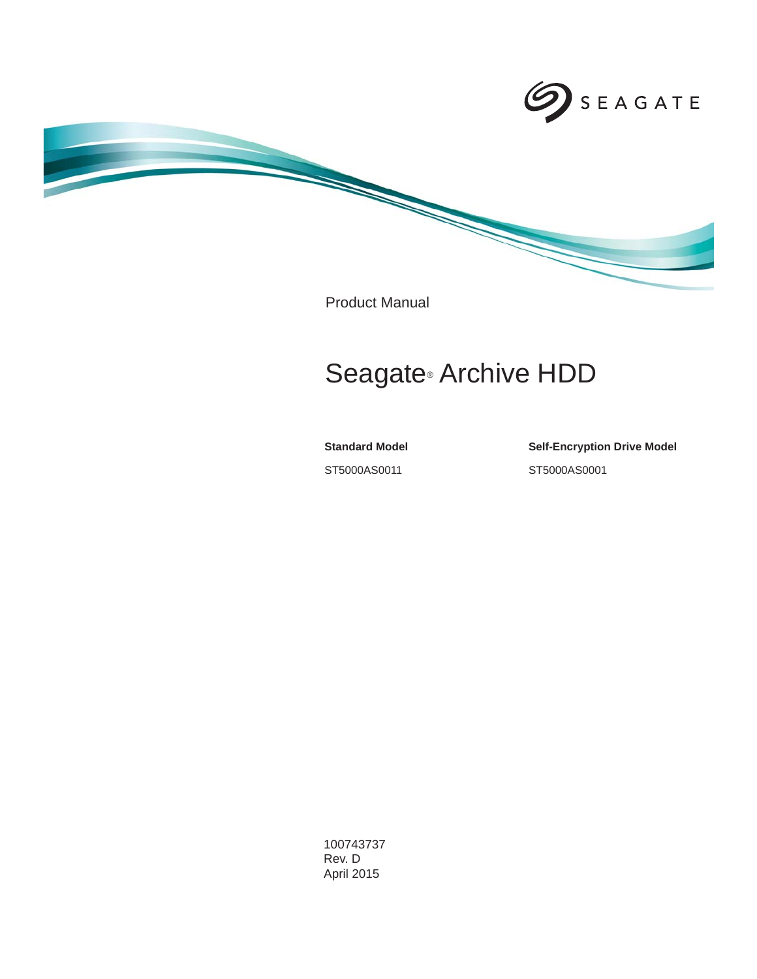

Product Manual

# Seagate® Archive HDD

**Standard Model**

ST5000AS0011

**Self-Encryption Drive Model** ST5000AS0001

100743737 Rev. D April 2015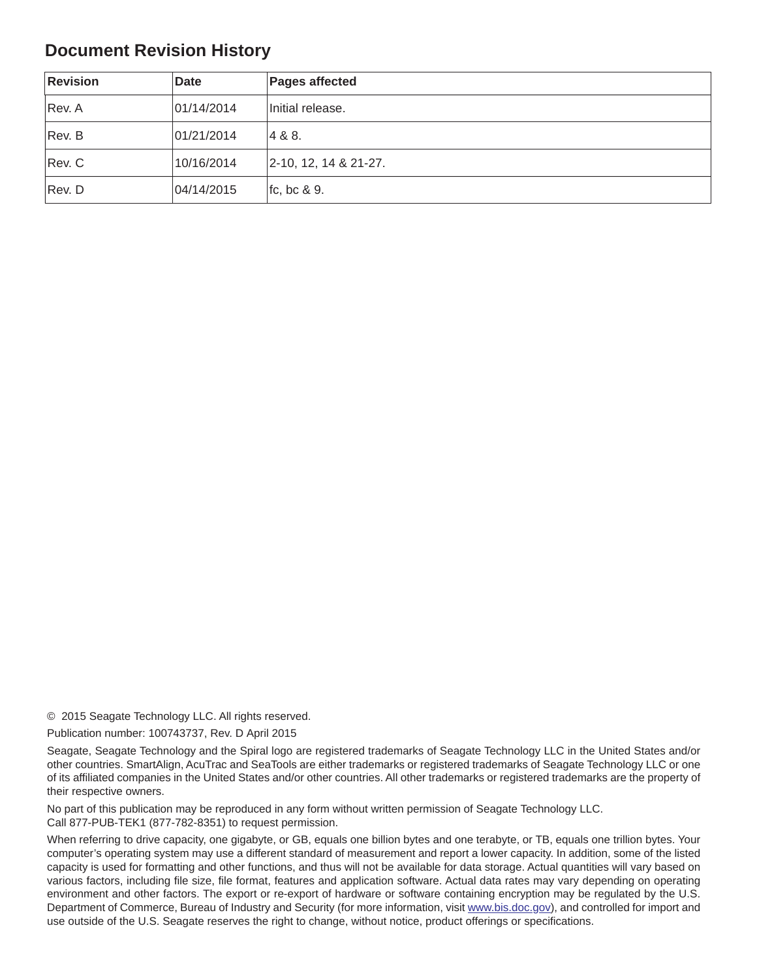## **Document Revision History**

| <b>Revision</b> | <b>Date</b> | <b>Pages affected</b>        |
|-----------------|-------------|------------------------------|
| Rev. A          | 01/14/2014  | Initial release.             |
| Rev. B          | 01/21/2014  | 4 & 8.                       |
| Rev. C          | 10/16/2014  | $ 2 - 10, 12, 14 & 21 - 27.$ |
| Rev. D          | 04/14/2015  | fc, bc $\& 9.$               |

© 2015 Seagate Technology LLC. All rights reserved.

Publication number: 100743737, Rev. D April 2015

Seagate, Seagate Technology and the Spiral logo are registered trademarks of Seagate Technology LLC in the United States and/or other countries. SmartAlign, AcuTrac and SeaTools are either trademarks or registered trademarks of Seagate Technology LLC or one of its affiliated companies in the United States and/or other countries. All other trademarks or registered trademarks are the property of their respective owners.

No part of this publication may be reproduced in any form without written permission of Seagate Technology LLC. Call 877-PUB-TEK1 (877-782-8351) to request permission.

When referring to drive capacity, one gigabyte, or GB, equals one billion bytes and one terabyte, or TB, equals one trillion bytes. Your computer's operating system may use a different standard of measurement and report a lower capacity. In addition, some of the listed capacity is used for formatting and other functions, and thus will not be available for data storage. Actual quantities will vary based on various factors, including file size, file format, features and application software. Actual data rates may vary depending on operating environment and other factors. The export or re-export of hardware or software containing encryption may be regulated by the U.S. Department of Commerce, Bureau of Industry and Security (for more information, visit [www.bis.doc.](http://www.bis.doc.gov)gov), and controlled for import and use outside of the U.S. Seagate reserves the right to change, without notice, product offerings or specifications.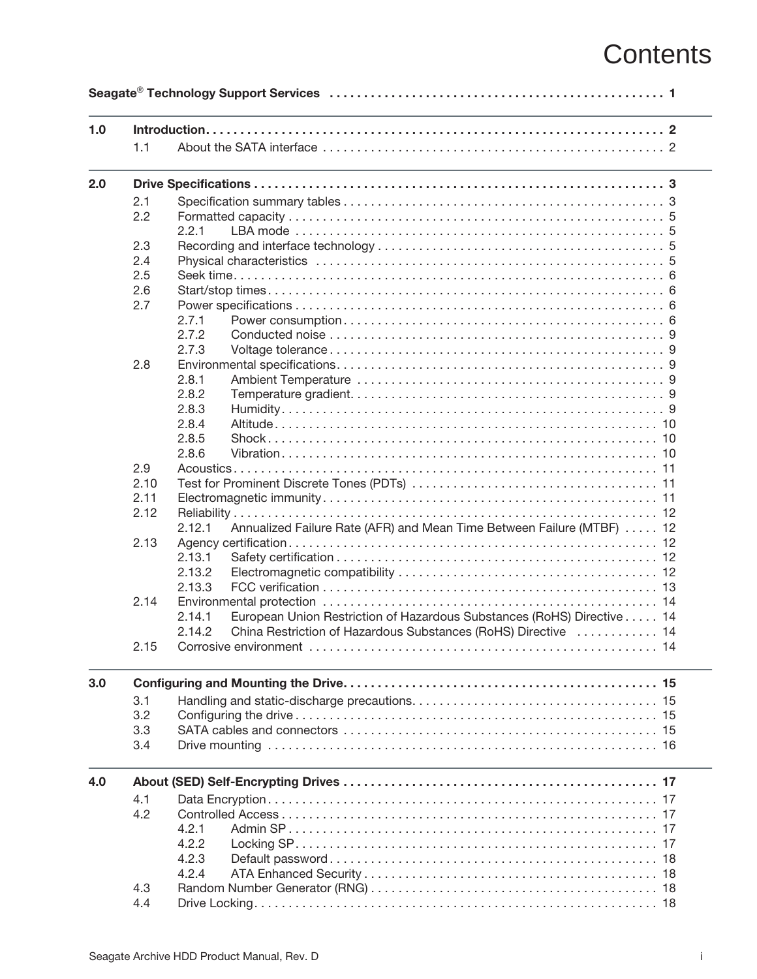# **Contents**

| 1.0 |      |                                                                                  |
|-----|------|----------------------------------------------------------------------------------|
|     | 1.1  |                                                                                  |
| 2.0 |      |                                                                                  |
|     | 2.1  |                                                                                  |
|     | 2.2  |                                                                                  |
|     |      | 2.2.1                                                                            |
|     | 2.3  |                                                                                  |
|     | 2.4  |                                                                                  |
|     | 2.5  |                                                                                  |
|     | 2.6  |                                                                                  |
|     | 2.7  |                                                                                  |
|     |      | 2.7.1                                                                            |
|     |      | 2.7.2                                                                            |
|     |      | 2.7.3                                                                            |
|     | 2.8  |                                                                                  |
|     |      | 2.8.1                                                                            |
|     |      | 2.8.2                                                                            |
|     |      | 2.8.3                                                                            |
|     |      | 2.8.4                                                                            |
|     |      | 2.8.5                                                                            |
|     |      | 2.8.6                                                                            |
|     | 2.9  |                                                                                  |
|     | 2.10 |                                                                                  |
|     | 2.11 |                                                                                  |
|     | 2.12 |                                                                                  |
|     |      | Annualized Failure Rate (AFR) and Mean Time Between Failure (MTBF) 12<br>2.12.1  |
|     | 2.13 |                                                                                  |
|     |      | 2.13.1                                                                           |
|     |      | 2.13.2                                                                           |
|     |      | 2.13.3                                                                           |
|     | 2.14 |                                                                                  |
|     |      | European Union Restriction of Hazardous Substances (RoHS) Directive 14<br>2.14.1 |
|     |      | 2.14.2<br>China Restriction of Hazardous Substances (RoHS) Directive  14         |
|     | 2.15 |                                                                                  |
|     |      |                                                                                  |
|     | 3.1  |                                                                                  |
|     | 3.2  |                                                                                  |
|     | 3.3  |                                                                                  |
|     | 3.4  |                                                                                  |
|     |      |                                                                                  |
|     | 4.1  |                                                                                  |
|     | 4.2  |                                                                                  |
|     |      | 4.2.1                                                                            |
|     |      | 4.2.2                                                                            |
|     |      | 4.2.3                                                                            |
|     |      | 4.2.4                                                                            |
|     | 4.3  |                                                                                  |
|     |      |                                                                                  |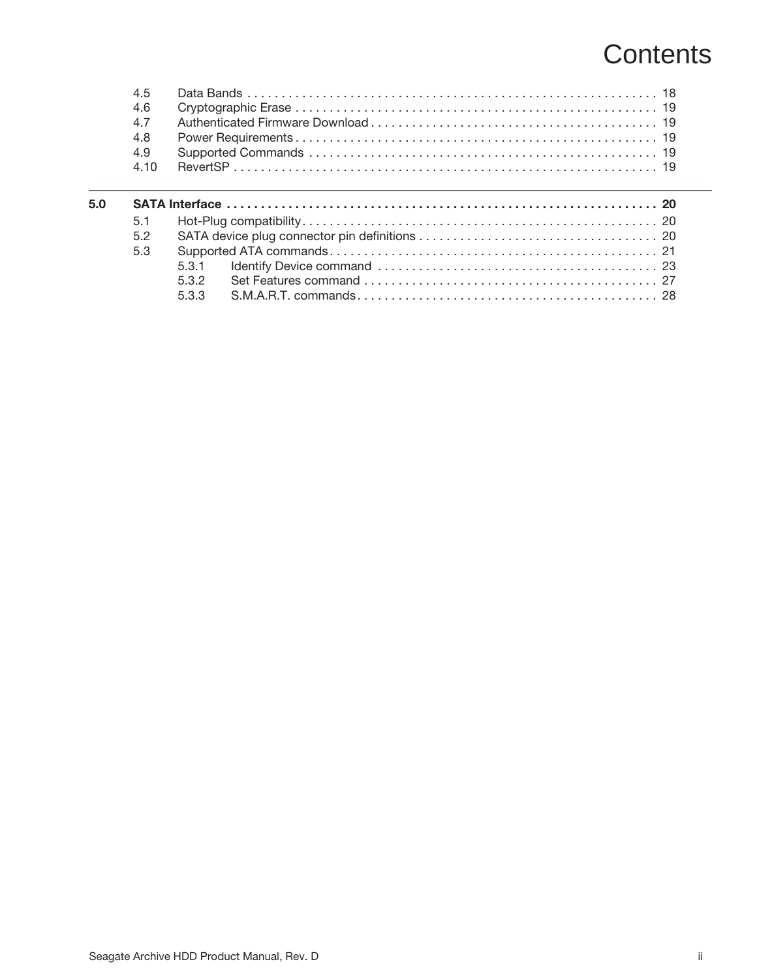# **Contents**

|     | 4.5<br>4.6<br>4.7<br>4.8<br>4.9 |       |  |
|-----|---------------------------------|-------|--|
|     | 4.10                            |       |  |
| 5.0 |                                 |       |  |
|     | 5.1                             |       |  |
|     | 5.2                             |       |  |
|     | 5.3                             |       |  |
|     |                                 | 5.31  |  |
|     |                                 | 532   |  |
|     |                                 |       |  |
|     |                                 | 5.3.3 |  |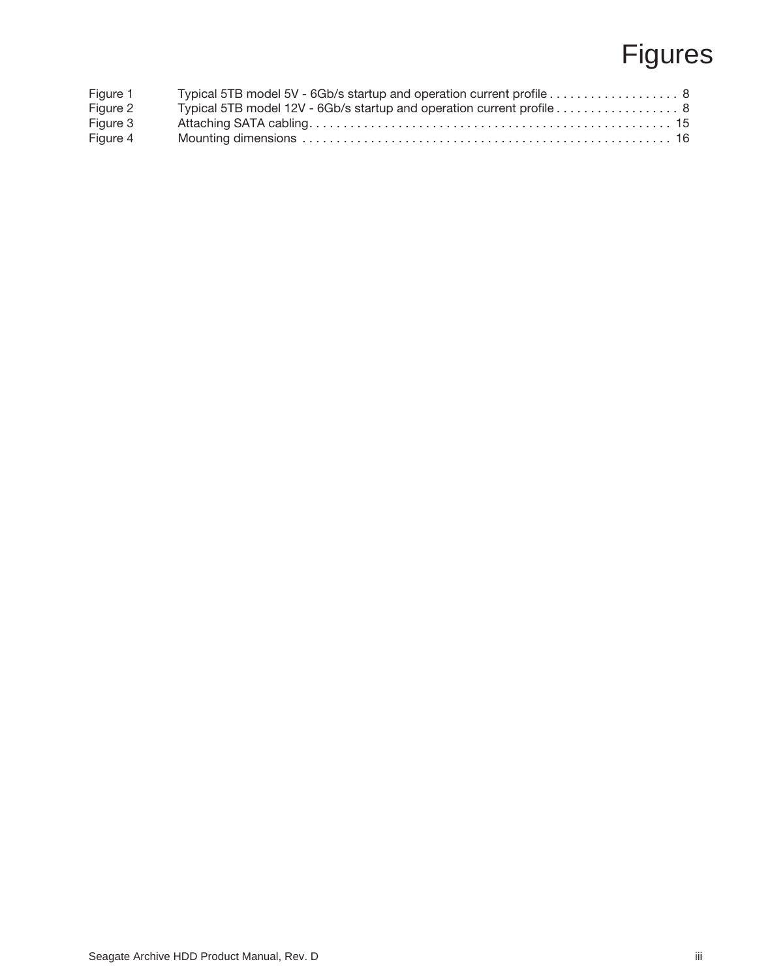# Figures

| Figure 1 | Typical 5TB model 5V - 6Gb/s startup and operation current profile 8  |
|----------|-----------------------------------------------------------------------|
| Figure 2 | Typical 5TB model 12V - 6Gb/s startup and operation current profile 8 |
| Figure 3 |                                                                       |
| Figure 4 |                                                                       |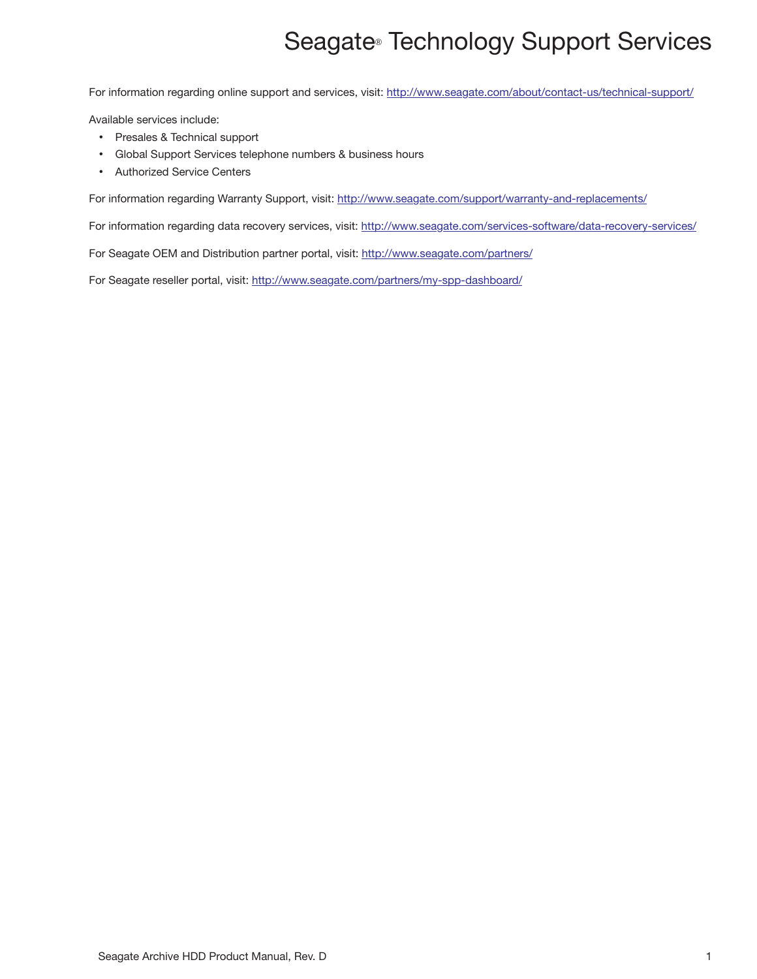# Seagate® Technology Support Services

<span id="page-5-0"></span>For information regarding online support and services, visit: [http://www.seag](http://www.seagate.com/about/contact-us/technical-support/)ate.com/about/contact-us/technical-support/

Available services include:

- Presales & Technical support
- Global Support Services telephone numbers & business hours
- Authorized Service Centers

[For information regarding Warranty Support, visit:](http://www.seagate.com/support/warranty-and-replacements/) http://www.seagate.com/support/warranty-and-replacements/

For information regarding data recovery services, visit: [http://www.sea](http://www.seagate.com/services-software/data-recovery-services/)gate.com/services-software/data-recovery-services/

[For Seagate OEM and Distribution partner portal, visit: h](http://www.seagate.com/partners/)ttp://www.seagate.com/partners/

[For Seagate reseller portal, visit: h](http://www.seagate.com/partners/my-spp-dashboard/)ttp://www.seagate.com/partners/my-spp-dashboard/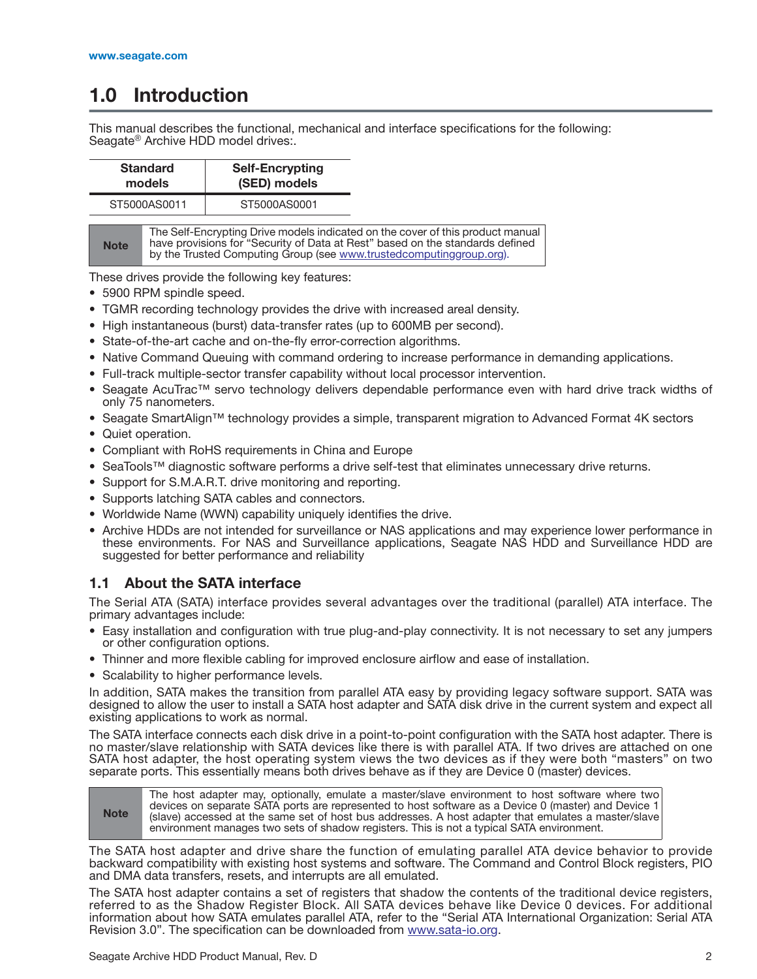## <span id="page-6-0"></span>**1.0 Introduction**

This manual describes the functional, mechanical and interface specifications for the following: Seagate<sup>®</sup> Archive HDD model drives:

|                                                                                                                                                                                                                                                       | <b>Standard</b><br>models | <b>Self-Encrypting</b><br>(SED) models |  |
|-------------------------------------------------------------------------------------------------------------------------------------------------------------------------------------------------------------------------------------------------------|---------------------------|----------------------------------------|--|
| ST5000AS0011                                                                                                                                                                                                                                          |                           | ST5000AS0001                           |  |
| The Self-Encrypting Drive models indicated on the cover of this product manual<br>have provisions for "Security of Data at Rest" based on the standards defined<br><b>Note</b><br>by the Trusted Computing Group (see www.trustedcomputinggroup.org). |                           |                                        |  |

These drives provide the following key features:

- 5900 RPM spindle speed.
- TGMR recording technology provides the drive with increased areal density.
- High instantaneous (burst) data-transfer rates (up to 600MB per second).
- State-of-the-art cache and on-the-fly error-correction algorithms.
- Native Command Queuing with command ordering to increase performance in demanding applications.
- Full-track multiple-sector transfer capability without local processor intervention.
- Seagate AcuTrac™ servo technology delivers dependable performance even with hard drive track widths of only 75 nanometers.
- Seagate SmartAlign™ technology provides a simple, transparent migration to Advanced Format 4K sectors
- Quiet operation.
- Compliant with RoHS requirements in China and Europe
- SeaTools™ diagnostic software performs a drive self-test that eliminates unnecessary drive returns.
- Support for S.M.A.R.T. drive monitoring and reporting.
- Supports latching SATA cables and connectors.
- Worldwide Name (WWN) capability uniquely identifies the drive.
- Archive HDDs are not intended for surveillance or NAS applications and may experience lower performance in these environments. For NAS and Surveillance applications, Seagate NAS HDD and Surveillance HDD are suggested for better performance and reliability

## <span id="page-6-1"></span>**1.1 About the SATA interface**

The Serial ATA (SATA) interface provides several advantages over the traditional (parallel) ATA interface. The primary advantages include:

- Easy installation and configuration with true plug-and-play connectivity. It is not necessary to set any jumpers or other configuration options.
- Thinner and more flexible cabling for improved enclosure airflow and ease of installation.
- Scalability to higher performance levels.

In addition, SATA makes the transition from parallel ATA easy by providing legacy software support. SATA was designed to allow the user to install a SATA host adapter and SATA disk drive in the current system and expect all existing applications to work as normal.

The SATA interface connects each disk drive in a point-to-point configuration with the SATA host adapter. There is no master/slave relationship with SATA devices like there is with parallel ATA. If two drives are attached on one SATA host adapter, the host operating system views the two devices as if they were both "masters" on two separate ports. This essentially means both drives behave as if they are Device 0 (master) devices.

**Note** The host adapter may, optionally, emulate a master/slave environment to host software where two devices on separate SATA ports are represented to host software as a Device 0 (master) and Device 1 (slave) accessed at the same set of host bus addresses. A host adapter that emulates a master/slave environment manages two sets of shadow registers. This is not a typical SATA environment.

The SATA host adapter and drive share the function of emulating parallel ATA device behavior to provide backward compatibility with existing host systems and software. The Command and Control Block registers, PIO and DMA data transfers, resets, and interrupts are all emulated.

[The SATA host adapter contains a set of registers that shadow the contents of the traditional device registers,](http://www.sata-io.org) referred to as the Shadow Register Block. All SATA devices behave like Device 0 devices. For additional information about how SATA emulates parallel ATA, refer to the "Serial ATA International Organization: Serial ATA [Revision 3.0". The specification can be downloaded from w](http://www.sata-io.org)ww.sata-io.org.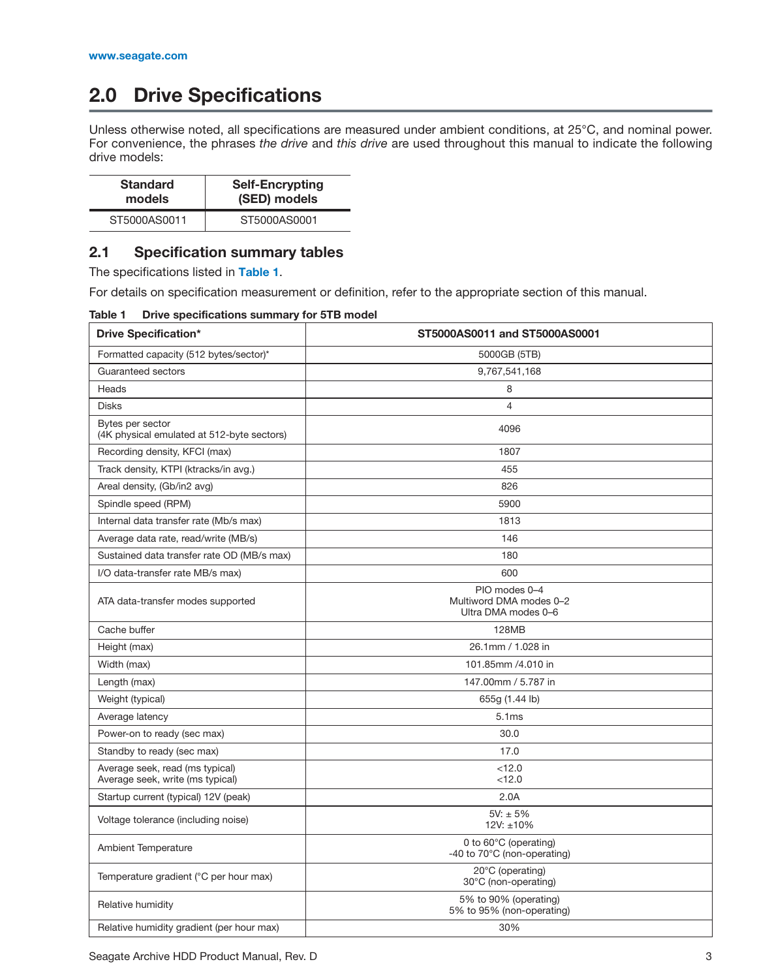## <span id="page-7-0"></span>**2.0 Drive Specifications**

Unless otherwise noted, all specifications are measured under ambient conditions, at 25°C, and nominal power. For convenience, the phrases *the drive* and *this drive* are used throughout this manual to indicate the following drive models:

| <b>Standard</b> | <b>Self-Encrypting</b> |  |
|-----------------|------------------------|--|
| models          | (SED) models           |  |
| ST5000AS0011    | ST5000AS0001           |  |

## <span id="page-7-1"></span>**2.1 Specification summary tables**

The specifications listed in **Table 1**.

For details on specification measurement or definition, refer to the appropriate section of this manual.

| Table 1 | Drive specifications summary for 5TB model |  |
|---------|--------------------------------------------|--|
|         |                                            |  |

| <b>Drive Specification*</b>                                         | ST5000AS0011 and ST5000AS0001                                   |  |
|---------------------------------------------------------------------|-----------------------------------------------------------------|--|
| Formatted capacity (512 bytes/sector)*                              | 5000GB (5TB)                                                    |  |
| Guaranteed sectors                                                  | 9,767,541,168                                                   |  |
| Heads                                                               | 8                                                               |  |
| <b>Disks</b>                                                        | $\overline{4}$                                                  |  |
| Bytes per sector<br>(4K physical emulated at 512-byte sectors)      | 4096                                                            |  |
| Recording density, KFCI (max)                                       | 1807                                                            |  |
| Track density, KTPI (ktracks/in avg.)                               | 455                                                             |  |
| Areal density, (Gb/in2 avg)                                         | 826                                                             |  |
| Spindle speed (RPM)                                                 | 5900                                                            |  |
| Internal data transfer rate (Mb/s max)                              | 1813                                                            |  |
| Average data rate, read/write (MB/s)                                | 146                                                             |  |
| Sustained data transfer rate OD (MB/s max)                          | 180                                                             |  |
| I/O data-transfer rate MB/s max)                                    | 600                                                             |  |
| ATA data-transfer modes supported                                   | PIO modes 0-4<br>Multiword DMA modes 0-2<br>Ultra DMA modes 0-6 |  |
| Cache buffer                                                        | <b>128MB</b>                                                    |  |
| 26.1mm / 1.028 in<br>Height (max)                                   |                                                                 |  |
| Width (max)                                                         | 101.85mm /4.010 in                                              |  |
| Length (max)                                                        | 147.00mm / 5.787 in                                             |  |
| Weight (typical)                                                    | 655g (1.44 lb)                                                  |  |
| Average latency                                                     | 5.1ms                                                           |  |
| Power-on to ready (sec max)                                         | 30.0                                                            |  |
| Standby to ready (sec max)                                          | 17.0                                                            |  |
| Average seek, read (ms typical)<br>Average seek, write (ms typical) | < 12.0<br>< 12.0                                                |  |
| Startup current (typical) 12V (peak)                                | 2.0A                                                            |  |
| Voltage tolerance (including noise)                                 | $5V: \pm 5\%$<br>12V: ±10%                                      |  |
| <b>Ambient Temperature</b>                                          | 0 to 60°C (operating)<br>-40 to 70°C (non-operating)            |  |
| Temperature gradient (°C per hour max)                              | 20°C (operating)<br>30°C (non-operating)                        |  |
| Relative humidity                                                   | 5% to 90% (operating)<br>5% to 95% (non-operating)              |  |
| Relative humidity gradient (per hour max)                           | 30%                                                             |  |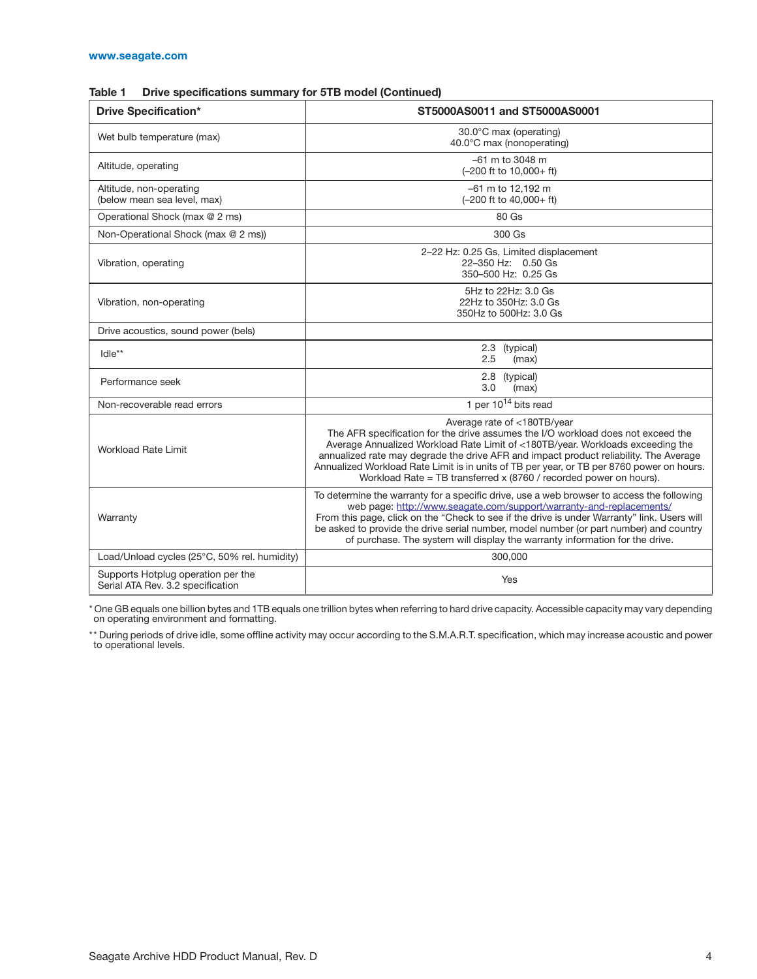| Table 1 | Drive specifications summary for 5TB model (Continued) |  |  |
|---------|--------------------------------------------------------|--|--|
|---------|--------------------------------------------------------|--|--|

| <b>Drive Specification*</b>                                             | ST5000AS0011 and ST5000AS0001                                                                                                                                                                                                                                                                                                                                                                                                                                 |  |
|-------------------------------------------------------------------------|---------------------------------------------------------------------------------------------------------------------------------------------------------------------------------------------------------------------------------------------------------------------------------------------------------------------------------------------------------------------------------------------------------------------------------------------------------------|--|
| Wet bulb temperature (max)                                              | 30.0°C max (operating)<br>40.0°C max (nonoperating)                                                                                                                                                                                                                                                                                                                                                                                                           |  |
| Altitude, operating                                                     | $-61$ m to 3048 m<br>(-200 ft to 10,000+ ft)                                                                                                                                                                                                                                                                                                                                                                                                                  |  |
| Altitude, non-operating<br>(below mean sea level, max)                  | -61 m to 12,192 m<br>$(-200$ ft to $40,000+$ ft)                                                                                                                                                                                                                                                                                                                                                                                                              |  |
| Operational Shock (max @ 2 ms)                                          | 80 Gs                                                                                                                                                                                                                                                                                                                                                                                                                                                         |  |
| Non-Operational Shock (max @ 2 ms))                                     | 300 Gs                                                                                                                                                                                                                                                                                                                                                                                                                                                        |  |
| Vibration, operating                                                    | 2-22 Hz: 0.25 Gs, Limited displacement<br>22-350 Hz: 0.50 Gs<br>350-500 Hz: 0.25 Gs                                                                                                                                                                                                                                                                                                                                                                           |  |
| Vibration, non-operating                                                | 5Hz to 22Hz: 3.0 Gs<br>22Hz to 350Hz: 3.0 Gs<br>350Hz to 500Hz: 3.0 Gs                                                                                                                                                                                                                                                                                                                                                                                        |  |
| Drive acoustics, sound power (bels)                                     |                                                                                                                                                                                                                                                                                                                                                                                                                                                               |  |
| $I$ dle**                                                               | 2.3<br>(typical)<br>2.5<br>(max)                                                                                                                                                                                                                                                                                                                                                                                                                              |  |
| Performance seek                                                        | 2.8 (typical)<br>3.0<br>(max)                                                                                                                                                                                                                                                                                                                                                                                                                                 |  |
| Non-recoverable read errors                                             | 1 per $10^{14}$ bits read                                                                                                                                                                                                                                                                                                                                                                                                                                     |  |
| Workload Rate Limit                                                     | Average rate of <180TB/year<br>The AFR specification for the drive assumes the I/O workload does not exceed the<br>Average Annualized Workload Rate Limit of <180TB/year. Workloads exceeding the<br>annualized rate may degrade the drive AFR and impact product reliability. The Average<br>Annualized Workload Rate Limit is in units of TB per year, or TB per 8760 power on hours.<br>Workload Rate = TB transferred x (8760 / recorded power on hours). |  |
| Warranty                                                                | To determine the warranty for a specific drive, use a web browser to access the following<br>web page: http://www.seagate.com/support/warranty-and-replacements/<br>From this page, click on the "Check to see if the drive is under Warranty" link. Users will<br>be asked to provide the drive serial number, model number (or part number) and country<br>of purchase. The system will display the warranty information for the drive.                     |  |
| Load/Unload cycles (25°C, 50% rel. humidity)                            | 300,000                                                                                                                                                                                                                                                                                                                                                                                                                                                       |  |
| Supports Hotplug operation per the<br>Serial ATA Rev. 3.2 specification | Yes                                                                                                                                                                                                                                                                                                                                                                                                                                                           |  |

\* One GB equals one billion bytes and 1TB equals one trillion bytes when referring to hard drive capacity. Accessible capacity may vary depending on operating environment and formatting.

\*\* During periods of drive idle, some offline activity may occur according to the S.M.A.R.T. specification, which may increase acoustic and power to operational levels.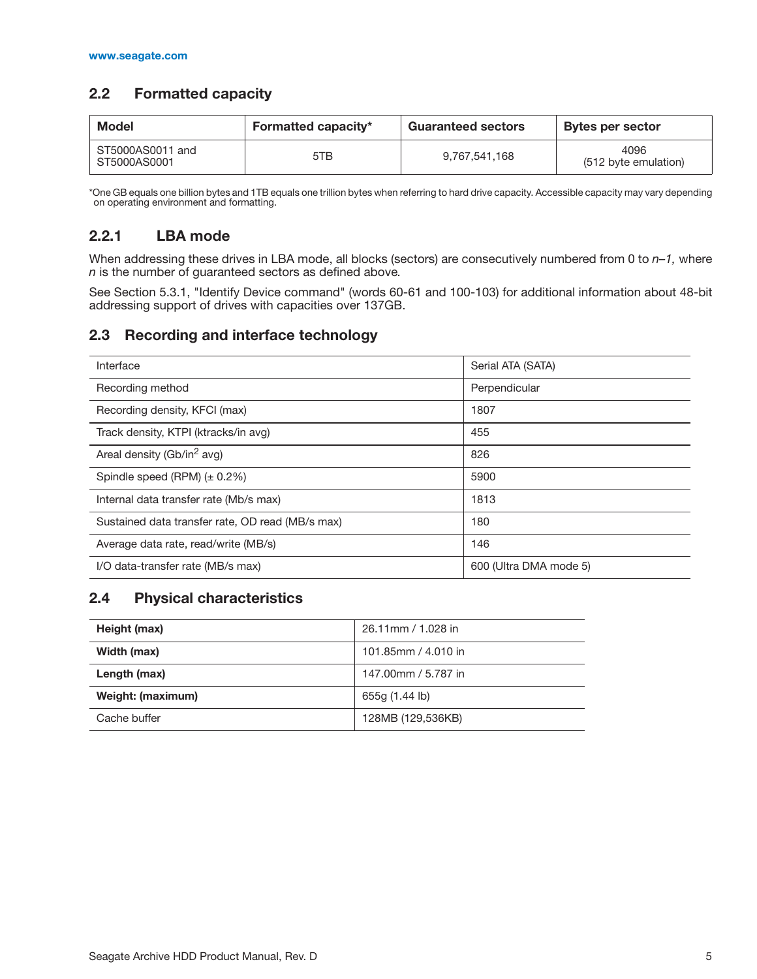## <span id="page-9-0"></span>**2.2 Formatted capacity**

| <b>Model</b>                     | <b>Formatted capacity*</b> | <b>Guaranteed sectors</b> | Bytes per sector             |
|----------------------------------|----------------------------|---------------------------|------------------------------|
| ST5000AS0011 and<br>ST5000AS0001 | 5TB                        | 9.767.541.168             | 4096<br>(512 byte emulation) |

\*One GB equals one billion bytes and 1TB equals one trillion bytes when referring to hard drive capacity. Accessible capacity may vary depending on operating environment and formatting.

## <span id="page-9-1"></span>**2.2.1 LBA mode**

When addressing these drives in LBA mode, all blocks (sectors) are consecutively numbered from 0 to *n–1,* where *n* is the number of guaranteed sectors as defined above*.*

See [Section 5.3.1, "Identify Device command"](#page-27-0) (words 60-61 and 100-103) for additional information about 48-bit addressing support of drives with capacities over 137GB.

## <span id="page-9-2"></span>**2.3 Recording and interface technology**

| Interface                                        | Serial ATA (SATA)      |
|--------------------------------------------------|------------------------|
| Recording method                                 | Perpendicular          |
| Recording density, KFCI (max)                    | 1807                   |
| Track density, KTPI (ktracks/in avg)             | 455                    |
| Areal density (Gb/in <sup>2</sup> avg)           | 826                    |
| Spindle speed (RPM) $(\pm 0.2\%)$                | 5900                   |
| Internal data transfer rate (Mb/s max)           | 1813                   |
| Sustained data transfer rate, OD read (MB/s max) | 180                    |
| Average data rate, read/write (MB/s)             | 146                    |
| I/O data-transfer rate (MB/s max)                | 600 (Ultra DMA mode 5) |

## <span id="page-9-3"></span>**2.4 Physical characteristics**

| Height (max)      | 26.11mm / 1.028 in  |
|-------------------|---------------------|
| Width (max)       | 101.85mm / 4.010 in |
| Length (max)      | 147,00mm / 5,787 in |
| Weight: (maximum) | 655g (1.44 lb)      |
| Cache buffer      | 128MB (129,536KB)   |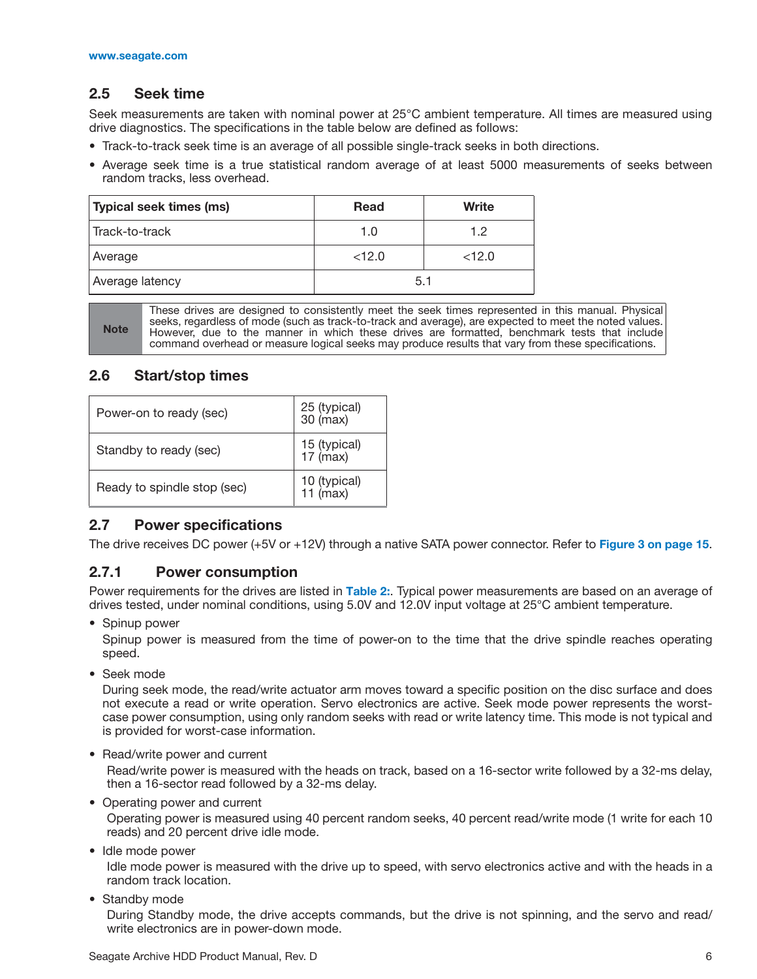## <span id="page-10-0"></span>**2.5 Seek time**

Seek measurements are taken with nominal power at 25°C ambient temperature. All times are measured using drive diagnostics. The specifications in the table below are defined as follows:

- Track-to-track seek time is an average of all possible single-track seeks in both directions.
- Average seek time is a true statistical random average of at least 5000 measurements of seeks between random tracks, less overhead.

| Typical seek times (ms) | <b>Read</b> | Write |
|-------------------------|-------------|-------|
| Track-to-track          | 1.0         | 1.2   |
| Average                 | <12.0       | <12.0 |
| Average latency         | 5.1         |       |

**Note** These drives are designed to consistently meet the seek times represented in this manual. Physical seeks, regardless of mode (such as track-to-track and average), are expected to meet the noted values. However, due to the manner in which these drives are formatted, benchmark tests that include command overhead or measure logical seeks may produce results that vary from these specifications.

## <span id="page-10-1"></span>**2.6 Start/stop times**

| Power-on to ready (sec)     | 25 (typical)<br>$30 \text{ (max)}$ |
|-----------------------------|------------------------------------|
| Standby to ready (sec)      | 15 (typical)<br>17 (max)           |
| Ready to spindle stop (sec) | 10 (typical)<br>11 (max)           |

## <span id="page-10-2"></span>**2.7 Power specifications**

The drive receives DC power (+5V or +12V) through a native SATA power connector. Refer to **[Figure 3 on page 15](#page-19-4)**.

## <span id="page-10-3"></span>**2.7.1 Power consumption**

Power requirements for the drives are listed in **Table 2:**. Typical power measurements are based on an average of drives tested, under nominal conditions, using 5.0V and 12.0V input voltage at 25°C ambient temperature.

• Spinup power

Spinup power is measured from the time of power-on to the time that the drive spindle reaches operating speed.

• Seek mode

During seek mode, the read/write actuator arm moves toward a specific position on the disc surface and does not execute a read or write operation. Servo electronics are active. Seek mode power represents the worstcase power consumption, using only random seeks with read or write latency time. This mode is not typical and is provided for worst-case information.

• Read/write power and current

Read/write power is measured with the heads on track, based on a 16-sector write followed by a 32-ms delay, then a 16-sector read followed by a 32-ms delay.

• Operating power and current

Operating power is measured using 40 percent random seeks, 40 percent read/write mode (1 write for each 10 reads) and 20 percent drive idle mode.

• Idle mode power

Idle mode power is measured with the drive up to speed, with servo electronics active and with the heads in a random track location.

• Standby mode

During Standby mode, the drive accepts commands, but the drive is not spinning, and the servo and read/ write electronics are in power-down mode.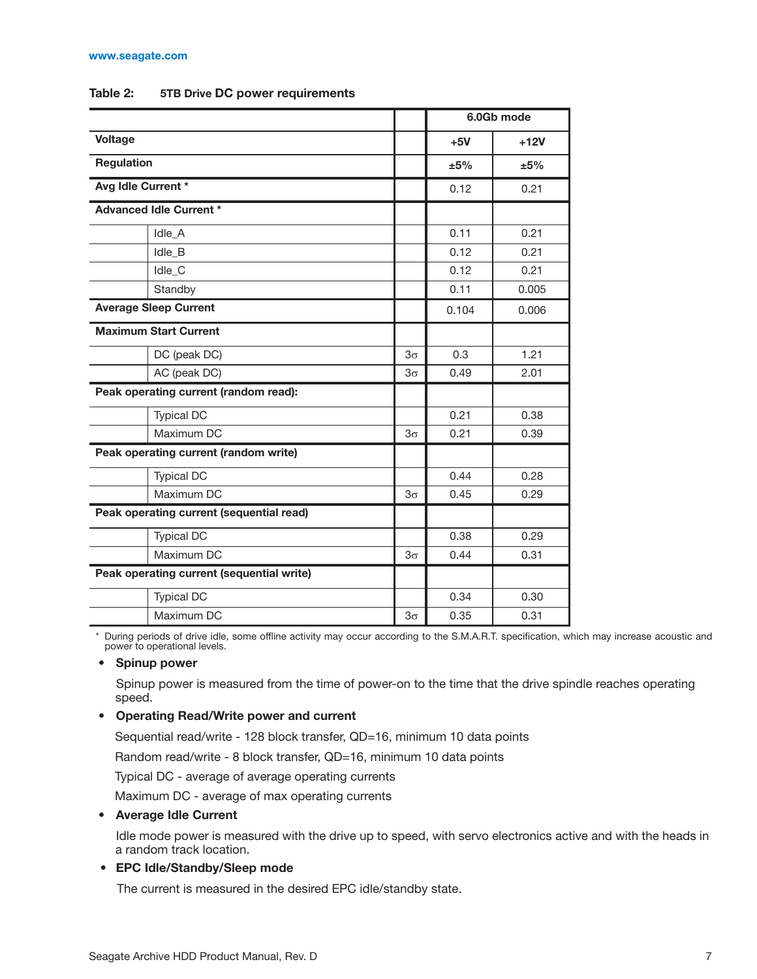#### **[www.seagate.com](http://www.seagate.com)**

|                                           |                                       |           |       | 6.0Gb mode |
|-------------------------------------------|---------------------------------------|-----------|-------|------------|
| <b>Voltage</b>                            |                                       |           | $+5V$ | $+12V$     |
| <b>Regulation</b>                         |                                       |           | ±5%   | ±5%        |
| Avg Idle Current *                        |                                       |           | 0.12  | 0.21       |
|                                           | <b>Advanced Idle Current *</b>        |           |       |            |
|                                           | Idle A                                |           | 0.11  | 0.21       |
|                                           | Idle_B                                |           | 0.12  | 0.21       |
|                                           | Idle_C                                |           | 0.12  | 0.21       |
|                                           | Standby                               |           | 0.11  | 0.005      |
|                                           | <b>Average Sleep Current</b>          |           | 0.104 | 0.006      |
| <b>Maximum Start Current</b>              |                                       |           |       |            |
|                                           | DC (peak DC)                          | $3\sigma$ | 0.3   | 1.21       |
| AC (peak DC)                              |                                       | $3\sigma$ | 0.49  | 2.01       |
| Peak operating current (random read):     |                                       |           |       |            |
|                                           | <b>Typical DC</b>                     |           | 0.21  | 0.38       |
|                                           | Maximum DC                            | $3\sigma$ | 0.21  | 0.39       |
|                                           | Peak operating current (random write) |           |       |            |
|                                           | <b>Typical DC</b>                     |           | 0.44  | 0.28       |
|                                           | Maximum DC                            | $3\sigma$ | 0.45  | 0.29       |
| Peak operating current (sequential read)  |                                       |           |       |            |
|                                           | <b>Typical DC</b>                     |           | 0.38  | 0.29       |
| Maximum DC                                |                                       | $3\sigma$ | 0.44  | 0.31       |
| Peak operating current (sequential write) |                                       |           |       |            |
|                                           | <b>Typical DC</b>                     |           | 0.34  | 0.30       |
|                                           | Maximum DC                            | $3\sigma$ | 0.35  | 0.31       |

#### **Table 2: 5TB Drive DC power requirements**

\* During periods of drive idle, some offline activity may occur according to the S.M.A.R.T. specification, which may increase acoustic and power to operational levels.

#### **• Spinup power**

Spinup power is measured from the time of power-on to the time that the drive spindle reaches operating speed.

#### **• Operating Read/Write power and current**

Sequential read/write - 128 block transfer, QD=16, minimum 10 data points

Random read/write - 8 block transfer, QD=16, minimum 10 data points

Typical DC - average of average operating currents

Maximum DC - average of max operating currents

#### **• Average Idle Current**

Idle mode power is measured with the drive up to speed, with servo electronics active and with the heads in a random track location.

#### **• EPC Idle/Standby/Sleep mode**

The current is measured in the desired EPC idle/standby state.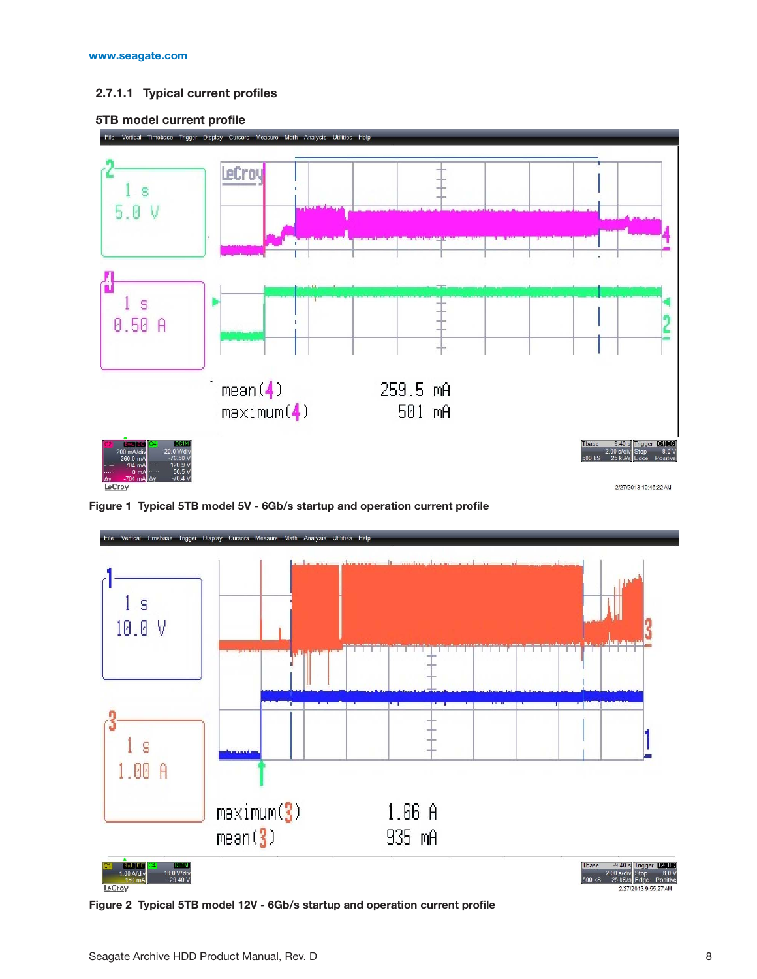#### **2.7.1.1 Typical current profiles**





<span id="page-12-0"></span>**Figure 1 Typical 5TB model 5V - 6Gb/s startup and operation current profile**



<span id="page-12-1"></span>**Figure 2 Typical 5TB model 12V - 6Gb/s startup and operation current profile**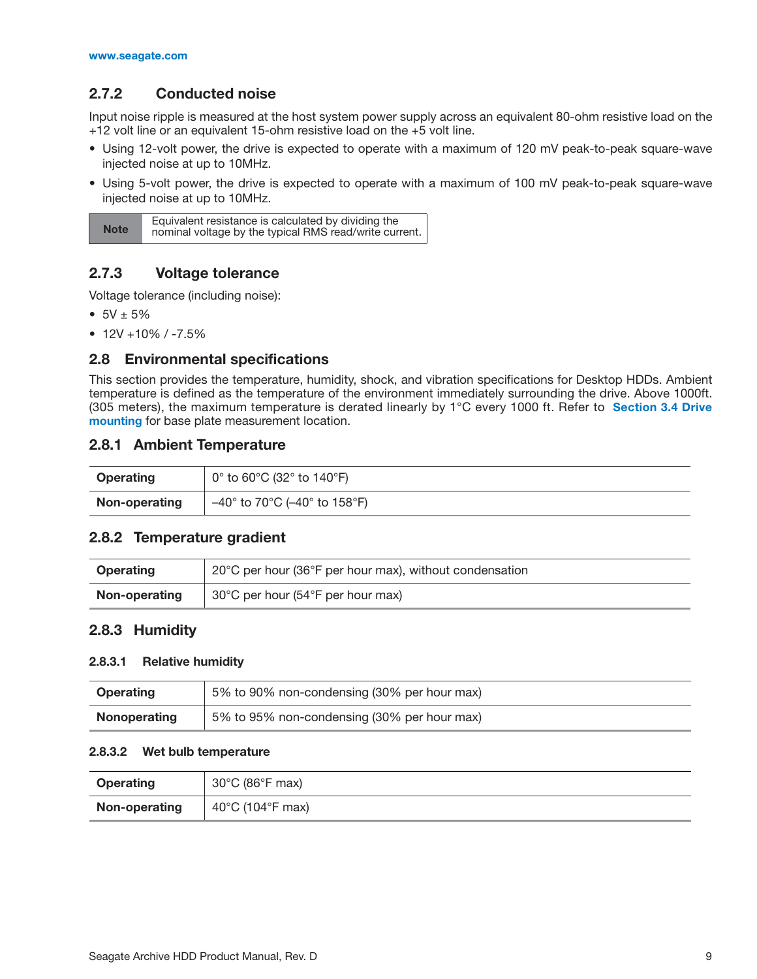## <span id="page-13-0"></span>**2.7.2 Conducted noise**

Input noise ripple is measured at the host system power supply across an equivalent 80-ohm resistive load on the +12 volt line or an equivalent 15-ohm resistive load on the +5 volt line.

- Using 12-volt power, the drive is expected to operate with a maximum of 120 mV peak-to-peak square-wave injected noise at up to 10MHz.
- Using 5-volt power, the drive is expected to operate with a maximum of 100 mV peak-to-peak square-wave injected noise at up to 10MHz.

| <b>Note</b> | Equivalent resistance is calculated by dividing the<br>nominal voltage by the typical RMS read/write current. |
|-------------|---------------------------------------------------------------------------------------------------------------|
|             |                                                                                                               |

## <span id="page-13-1"></span>**2.7.3 Voltage tolerance**

Voltage tolerance (including noise):

- $5V \pm 5%$
- $\bullet$  12V +10% / -7.5%

#### <span id="page-13-2"></span>**2.8 Environmental specifications**

This section provides the temperature, humidity, shock, and vibration specifications for Desktop HDDs. Ambient temperature is defined as the temperature of the environment immediately surrounding the drive. Above 1000ft. (305 meters), the maximum temperature is derated linearly by 1°C every 1000 ft. Refer to **[Section 3.4 Drive](#page-20-0) [mounting](#page-20-0)** for base plate measurement location.

#### <span id="page-13-3"></span>**2.8.1 Ambient Temperature**

| Operating     | $^{\prime}$ 0° to 60°C (32° to 140°F) $^{\prime}$ |
|---------------|---------------------------------------------------|
| Non-operating | –40° to 70°C (–40° to 158°F)                      |

#### <span id="page-13-4"></span>**2.8.2 Temperature gradient**

| <b>Operating</b> | 20°C per hour (36°F per hour max), without condensation |
|------------------|---------------------------------------------------------|
| Non-operating    | 30°C per hour (54°F per hour max)                       |

#### <span id="page-13-5"></span>**2.8.3 Humidity**

#### **2.8.3.1 Relative humidity**

| <b>Operating</b> | 5% to 90% non-condensing (30% per hour max) |
|------------------|---------------------------------------------|
| Nonoperating     | 5% to 95% non-condensing (30% per hour max) |

#### **2.8.3.2 Wet bulb temperature**

| <b>Operating</b> | $30^{\circ}$ C (86 $^{\circ}$ F max) |
|------------------|--------------------------------------|
| Non-operating    | 40 $\degree$ C (104 $\degree$ F max) |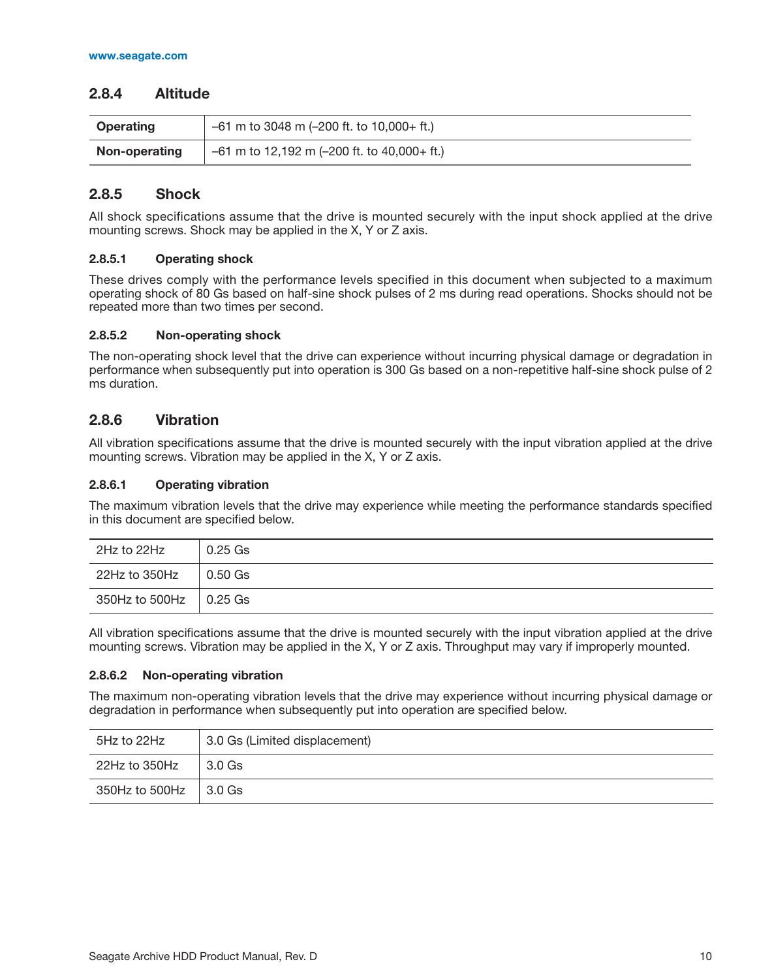## <span id="page-14-0"></span>**2.8.4 Altitude**

| <b>Operating</b> | $-61$ m to 3048 m (-200 ft. to 10,000+ ft.)   |
|------------------|-----------------------------------------------|
| Non-operating    | $-61$ m to 12,192 m (-200 ft. to 40,000+ ft.) |

## <span id="page-14-1"></span>**2.8.5 Shock**

All shock specifications assume that the drive is mounted securely with the input shock applied at the drive mounting screws. Shock may be applied in the X, Y or Z axis.

#### **2.8.5.1 Operating shock**

These drives comply with the performance levels specified in this document when subjected to a maximum operating shock of 80 Gs based on half-sine shock pulses of 2 ms during read operations. Shocks should not be repeated more than two times per second.

#### **2.8.5.2 Non-operating shock**

The non-operating shock level that the drive can experience without incurring physical damage or degradation in performance when subsequently put into operation is 300 Gs based on a non-repetitive half-sine shock pulse of 2 ms duration.

## <span id="page-14-2"></span>**2.8.6 Vibration**

All vibration specifications assume that the drive is mounted securely with the input vibration applied at the drive mounting screws. Vibration may be applied in the X, Y or Z axis.

#### **2.8.6.1 Operating vibration**

The maximum vibration levels that the drive may experience while meeting the performance standards specified in this document are specified below.

| 2Hz to 22Hz                    | $0.25$ Gs |
|--------------------------------|-----------|
| 22Hz to 350Hz                  | ∣ 0.50 Gs |
| $350$ Hz to 500Hz $\,$ 0.25 Gs |           |

All vibration specifications assume that the drive is mounted securely with the input vibration applied at the drive mounting screws. Vibration may be applied in the X, Y or Z axis. Throughput may vary if improperly mounted.

#### **2.8.6.2 Non-operating vibration**

The maximum non-operating vibration levels that the drive may experience without incurring physical damage or degradation in performance when subsequently put into operation are specified below.

| 5Hz to 22Hz    | 3.0 Gs (Limited displacement) |
|----------------|-------------------------------|
| 22Hz to 350Hz  | 3.0 Gs                        |
| 350Hz to 500Hz | $\vert$ 3.0 Gs                |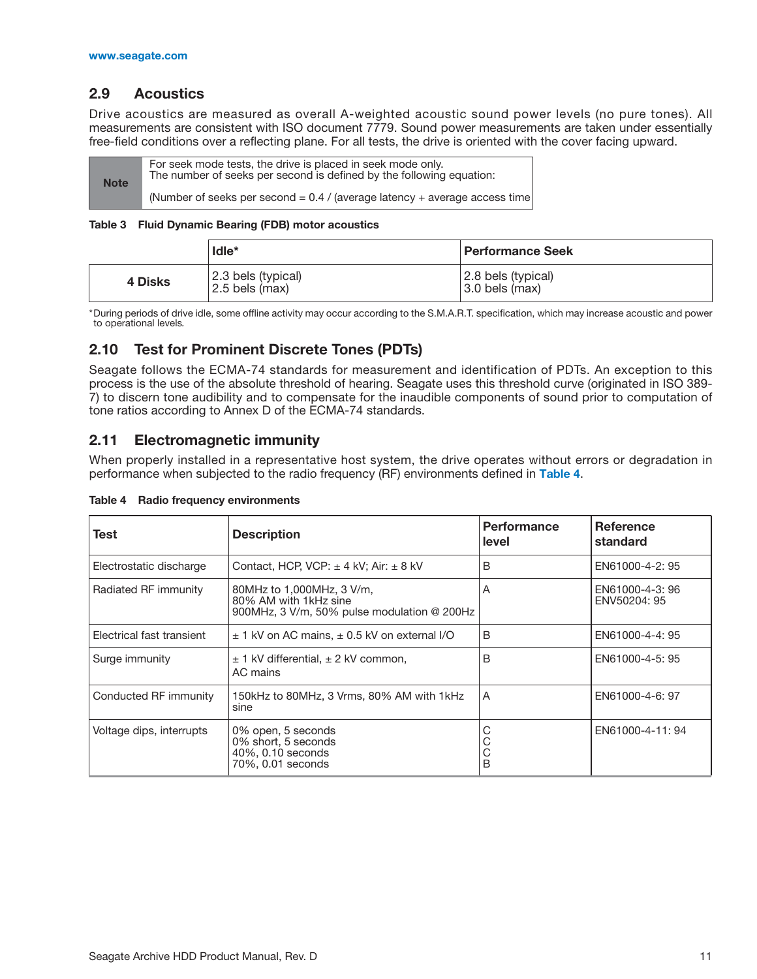## <span id="page-15-0"></span>**2.9 Acoustics**

Drive acoustics are measured as overall A-weighted acoustic sound power levels (no pure tones). All measurements are consistent with ISO document 7779. Sound power measurements are taken under essentially free-field conditions over a reflecting plane. For all tests, the drive is oriented with the cover facing upward.

| <b>Note</b> | For seek mode tests, the drive is placed in seek mode only.<br>The number of seeks per second is defined by the following equation: |  |
|-------------|-------------------------------------------------------------------------------------------------------------------------------------|--|
|             | (Number of seeks per second = $0.4$ / (average latency + average access time)                                                       |  |

#### **Table 3 Fluid Dynamic Bearing (FDB) motor acoustics**

|         | $I$ dle $*$                            | <b>Performance Seek</b>                  |
|---------|----------------------------------------|------------------------------------------|
| 4 Disks | 2.3 bels (typical)<br>$2.5$ bels (max) | 2.8 bels (typical)<br>$3.0$ bels $(max)$ |

\*During periods of drive idle, some offline activity may occur according to the S.M.A.R.T. specification, which may increase acoustic and power to operational levels*.*

## <span id="page-15-1"></span>**2.10 Test for Prominent Discrete Tones (PDTs)**

Seagate follows the ECMA-74 standards for measurement and identification of PDTs. An exception to this process is the use of the absolute threshold of hearing. Seagate uses this threshold curve (originated in ISO 389- 7) to discern tone audibility and to compensate for the inaudible components of sound prior to computation of tone ratios according to Annex D of the ECMA-74 standards.

## <span id="page-15-2"></span>**2.11 Electromagnetic immunity**

When properly installed in a representative host system, the drive operates without errors or degradation in performance when subjected to the radio frequency (RF) environments defined in **[Table 4](#page-15-3)**.

| Test                      | <b>Description</b>                                                                                | <b>Performance</b><br>level | <b>Reference</b><br>standard    |
|---------------------------|---------------------------------------------------------------------------------------------------|-----------------------------|---------------------------------|
| Electrostatic discharge   | Contact, HCP, VCP: $\pm$ 4 kV; Air: $\pm$ 8 kV                                                    | B                           | EN61000-4-2: 95                 |
| Radiated RF immunity      | 80MHz to 1,000MHz, 3 V/m,<br>80% AM with 1kHz sine<br>900MHz, 3 V/m, 50% pulse modulation @ 200Hz | A                           | EN61000-4-3: 96<br>ENV50204: 95 |
| Electrical fast transient | $\pm$ 1 kV on AC mains, $\pm$ 0.5 kV on external I/O                                              | B                           | EN61000-4-4: 95                 |
| Surge immunity            | $\pm$ 1 kV differential, $\pm$ 2 kV common,<br>AC mains                                           | B                           | EN61000-4-5: 95                 |
| Conducted RF immunity     | 150kHz to 80MHz, 3 Vrms, 80% AM with 1kHz<br>sine                                                 | A                           | EN61000-4-6: 97                 |
| Voltage dips, interrupts  | 0% open, 5 seconds<br>0% short, 5 seconds<br>40%, 0.10 seconds<br>70%, 0.01 seconds               | C<br>B                      | EN61000-4-11: 94                |

<span id="page-15-3"></span>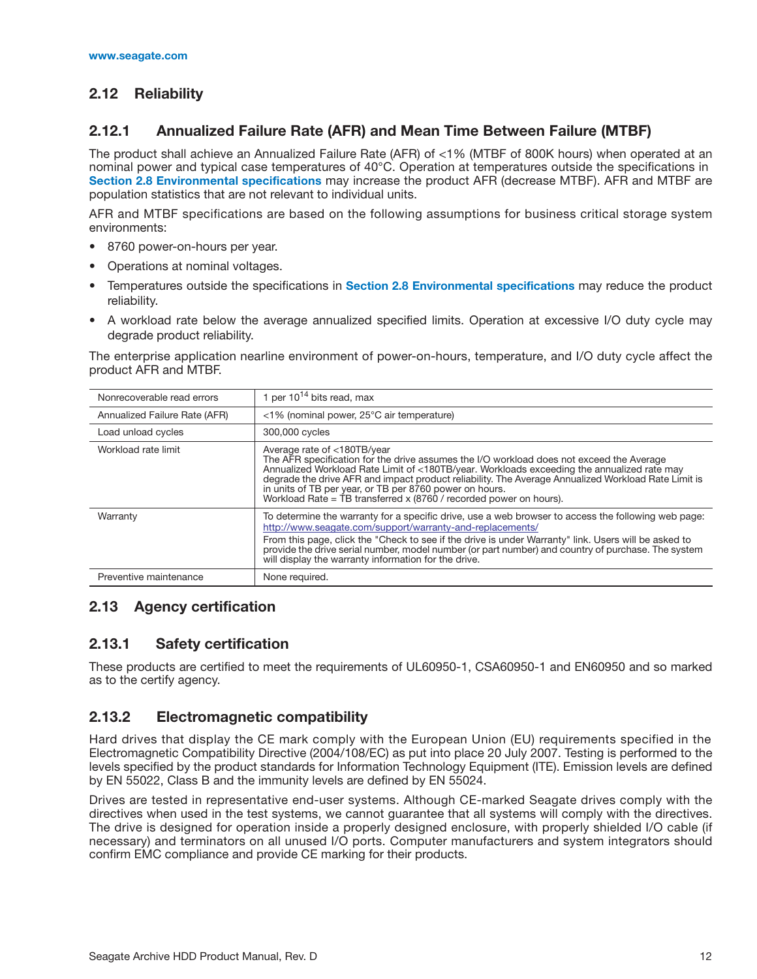## <span id="page-16-0"></span>**2.12 Reliability**

## <span id="page-16-1"></span>**2.12.1 Annualized Failure Rate (AFR) and Mean Time Between Failure (MTBF)**

The product shall achieve an Annualized Failure Rate (AFR) of <1% (MTBF of 800K hours) when operated at a[n](#page-13-2) nominal power and typical case temperatures of 40°C. Operation at temperatures outside the specifications in **[Section 2.8 Environmental specifications](#page-13-2)** may increase the product AFR (decrease MTBF). AFR and MTBF are population statistics that are not relevant to individual units.

AFR and MTBF specifications are based on the following assumptions for business critical storage system environments:

- 8760 power-on-hours per year.
- Operations at nominal voltages.
- Temperatures outside the specifications in **[Section 2.8 Environmental specifications](#page-13-2)** may reduce the product reliability.
- A workload rate below the average annualized specified limits. Operation at excessive I/O duty cycle may degrade product reliability.

The enterprise application nearline environment of power-on-hours, temperature, and I/O duty cycle affect the product AFR and MTBF.

| Nonrecoverable read errors    | 1 per $10^{14}$ bits read, max                                                                                                                                                                                                                                                                                                                                                                                                                                             |  |  |
|-------------------------------|----------------------------------------------------------------------------------------------------------------------------------------------------------------------------------------------------------------------------------------------------------------------------------------------------------------------------------------------------------------------------------------------------------------------------------------------------------------------------|--|--|
| Annualized Failure Rate (AFR) | <1% (nominal power, 25°C air temperature)                                                                                                                                                                                                                                                                                                                                                                                                                                  |  |  |
| Load unload cycles            | 300,000 cycles                                                                                                                                                                                                                                                                                                                                                                                                                                                             |  |  |
| Workload rate limit           | Average rate of <180TB/year<br>The AFR specification for the drive assumes the I/O workload does not exceed the Average<br>Annualized Workload Rate Limit of <180TB/year. Workloads exceeding the annualized rate may<br>degrade the drive AFR and impact product reliability. The Average Annualized Workload Rate Limit is<br>in units of TB per year, or TB per 8760 power on hours.<br>Workload Rate = $\overline{1}B$ transferred x (8760 / recorded power on hours). |  |  |
| Warranty                      | To determine the warranty for a specific drive, use a web browser to access the following web page:<br>http://www.seagate.com/support/warranty-and-replacements/<br>From this page, click the "Check to see if the drive is under Warranty" link. Users will be asked to<br>provide the drive serial number, model number (or part number) and country of purchase. The system<br>will display the warranty information for the drive.                                     |  |  |
| Preventive maintenance        | None required.                                                                                                                                                                                                                                                                                                                                                                                                                                                             |  |  |

## <span id="page-16-2"></span>**2.13 Agency certification**

## <span id="page-16-3"></span>**2.13.1 Safety certification**

These products are certified to meet the requirements of UL60950-1, CSA60950-1 and EN60950 and so marked as to the certify agency.

## <span id="page-16-4"></span>**2.13.2 Electromagnetic compatibility**

Hard drives that display the CE mark comply with the European Union (EU) requirements specified in the Electromagnetic Compatibility Directive (2004/108/EC) as put into place 20 July 2007. Testing is performed to the levels specified by the product standards for Information Technology Equipment (ITE). Emission levels are defined by EN 55022, Class B and the immunity levels are defined by EN 55024.

Drives are tested in representative end-user systems. Although CE-marked Seagate drives comply with the directives when used in the test systems, we cannot guarantee that all systems will comply with the directives. The drive is designed for operation inside a properly designed enclosure, with properly shielded I/O cable (if necessary) and terminators on all unused I/O ports. Computer manufacturers and system integrators should confirm EMC compliance and provide CE marking for their products.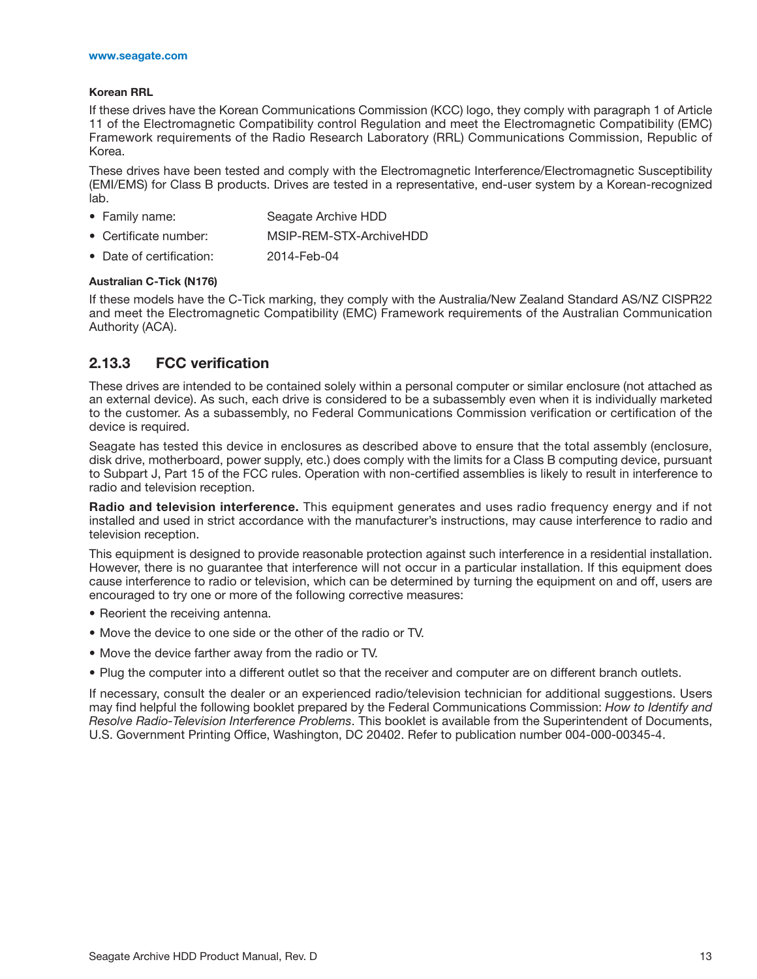#### **Korean RRL**

If these drives have the Korean Communications Commission (KCC) logo, they comply with paragraph 1 of Article 11 of the Electromagnetic Compatibility control Regulation and meet the Electromagnetic Compatibility (EMC) Framework requirements of the Radio Research Laboratory (RRL) Communications Commission, Republic of Korea.

These drives have been tested and comply with the Electromagnetic Interference/Electromagnetic Susceptibility (EMI/EMS) for Class B products. Drives are tested in a representative, end-user system by a Korean-recognized lab.

- Family name: Seagate Archive HDD
- Certificate number: MSIP-REM-STX-ArchiveHDD
- Date of certification: 2014-Feb-04

#### **Australian C-Tick (N176)**

If these models have the C-Tick marking, they comply with the Australia/New Zealand Standard AS/NZ CISPR22 and meet the Electromagnetic Compatibility (EMC) Framework requirements of the Australian Communication Authority (ACA).

## <span id="page-17-0"></span>**2.13.3 FCC verification**

These drives are intended to be contained solely within a personal computer or similar enclosure (not attached as an external device). As such, each drive is considered to be a subassembly even when it is individually marketed to the customer. As a subassembly, no Federal Communications Commission verification or certification of the device is required.

Seagate has tested this device in enclosures as described above to ensure that the total assembly (enclosure, disk drive, motherboard, power supply, etc.) does comply with the limits for a Class B computing device, pursuant to Subpart J, Part 15 of the FCC rules. Operation with non-certified assemblies is likely to result in interference to radio and television reception.

**Radio and television interference.** This equipment generates and uses radio frequency energy and if not installed and used in strict accordance with the manufacturer's instructions, may cause interference to radio and television reception.

This equipment is designed to provide reasonable protection against such interference in a residential installation. However, there is no guarantee that interference will not occur in a particular installation. If this equipment does cause interference to radio or television, which can be determined by turning the equipment on and off, users are encouraged to try one or more of the following corrective measures:

- Reorient the receiving antenna.
- Move the device to one side or the other of the radio or TV.
- Move the device farther away from the radio or TV.
- Plug the computer into a different outlet so that the receiver and computer are on different branch outlets.

If necessary, consult the dealer or an experienced radio/television technician for additional suggestions. Users may find helpful the following booklet prepared by the Federal Communications Commission: *How to Identify and Resolve Radio-Television Interference Problems*. This booklet is available from the Superintendent of Documents, U.S. Government Printing Office, Washington, DC 20402. Refer to publication number 004-000-00345-4.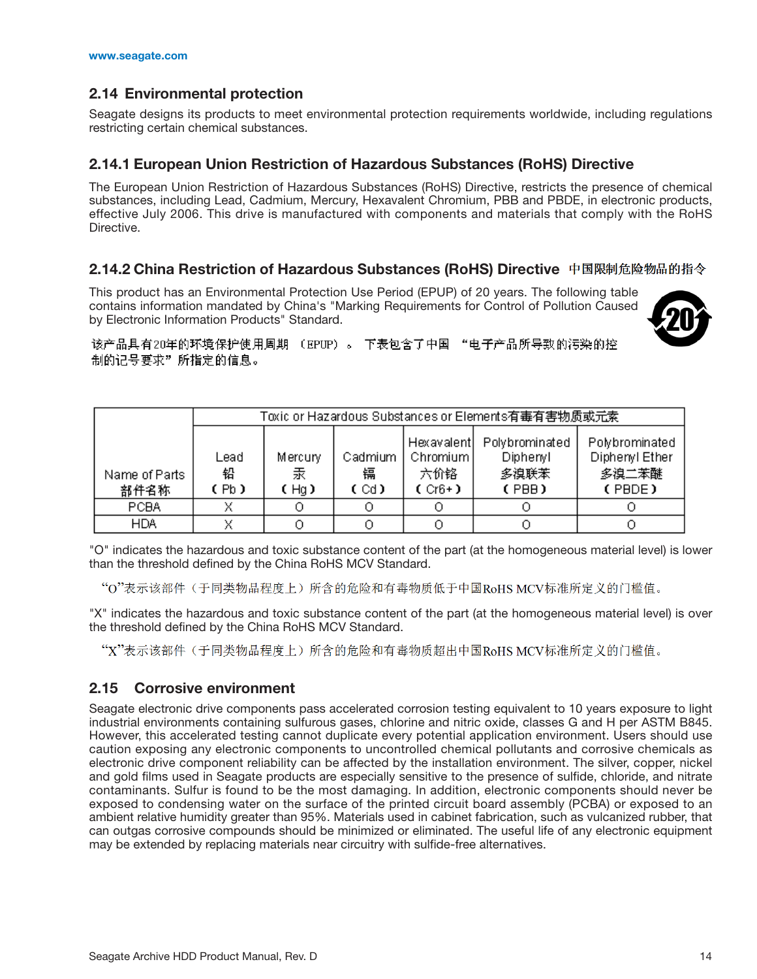## <span id="page-18-0"></span>**2.14 Environmental protection**

Seagate designs its products to meet environmental protection requirements worldwide, including regulations restricting certain chemical substances.

#### <span id="page-18-1"></span>**2.14.1 European Union Restriction of Hazardous Substances (RoHS) Directive**

The European Union Restriction of Hazardous Substances (RoHS) Directive, restricts the presence of chemical substances, including Lead, Cadmium, Mercury, Hexavalent Chromium, PBB and PBDE, in electronic products, effective July 2006. This drive is manufactured with components and materials that comply with the RoHS Directive.

## <span id="page-18-2"></span>**2.14.2 China Restriction of Hazardous Substances (RoHS) Directive**

This product has an Environmental Protection Use Period (EPUP) of 20 years. The following table contains information mandated by China's "Marking Requirements for Control of Pollution Caused by Electronic Information Products" Standard.



该产品具有20年的环境保护使用周期 (EPUP)。 下表包含了中国 "电子产品所导致的污染的控 制的记号要求"所指定的信息。

|                       | Toxic or Hazardous Substances or Elements有毒有害物质或元素 |                      |                      |                                              |                                             |                                                     |
|-----------------------|----------------------------------------------------|----------------------|----------------------|----------------------------------------------|---------------------------------------------|-----------------------------------------------------|
| Name of Parts<br>部件名称 | Lead<br>铅<br>(Pb)                                  | Mercury<br>汞<br>(Hg) | Cadmium<br>镉<br>(Cd) | Hexavalentl<br>Chromium  <br>六价铬<br>$(Cr6+)$ | Polybrominated<br>Diphenyl<br>多溴联苯<br>(PBB) | Polybrominated<br>Diphenyl Ether<br>多溴二苯醚<br>(PBDE) |
| PCBA                  |                                                    |                      |                      |                                              |                                             |                                                     |
| <b>HDA</b>            |                                                    |                      |                      |                                              |                                             |                                                     |

"O" indicates the hazardous and toxic substance content of the part (at the homogeneous material level) is lower than the threshold defined by the China RoHS MCV Standard.

"O"表示该部件(于同类物品程度上)所含的危险和有毒物质低于中国RoHS MCV标准所定义的门槛值。

"X" indicates the hazardous and toxic substance content of the part (at the homogeneous material level) is over the threshold defined by the China RoHS MCV Standard.

"X"表示该部件(于同类物品程度上)所含的危险和有毒物质超出中国RoHS MCV标准所定义的门槛值。

## <span id="page-18-3"></span>**2.15 Corrosive environment**

Seagate electronic drive components pass accelerated corrosion testing equivalent to 10 years exposure to light industrial environments containing sulfurous gases, chlorine and nitric oxide, classes G and H per ASTM B845. However, this accelerated testing cannot duplicate every potential application environment. Users should use caution exposing any electronic components to uncontrolled chemical pollutants and corrosive chemicals as electronic drive component reliability can be affected by the installation environment. The silver, copper, nickel and gold films used in Seagate products are especially sensitive to the presence of sulfide, chloride, and nitrate contaminants. Sulfur is found to be the most damaging. In addition, electronic components should never be exposed to condensing water on the surface of the printed circuit board assembly (PCBA) or exposed to an ambient relative humidity greater than 95%. Materials used in cabinet fabrication, such as vulcanized rubber, that can outgas corrosive compounds should be minimized or eliminated. The useful life of any electronic equipment may be extended by replacing materials near circuitry with sulfide-free alternatives.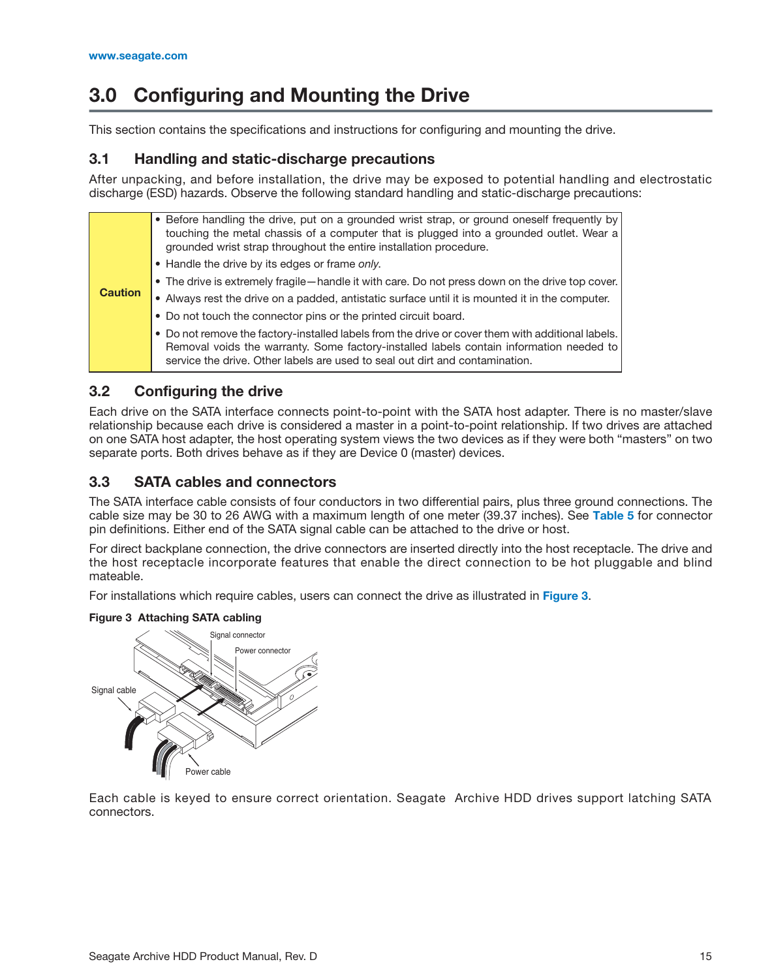# <span id="page-19-0"></span>**3.0 Configuring and Mounting the Drive**

This section contains the specifications and instructions for configuring and mounting the drive.

## <span id="page-19-1"></span>**3.1 Handling and static-discharge precautions**

After unpacking, and before installation, the drive may be exposed to potential handling and electrostatic discharge (ESD) hazards. Observe the following standard handling and static-discharge precautions:

|                | • Before handling the drive, put on a grounded wrist strap, or ground oneself frequently by<br>touching the metal chassis of a computer that is plugged into a grounded outlet. Wear a<br>grounded wrist strap throughout the entire installation procedure.                 |
|----------------|------------------------------------------------------------------------------------------------------------------------------------------------------------------------------------------------------------------------------------------------------------------------------|
|                | • Handle the drive by its edges or frame only.                                                                                                                                                                                                                               |
|                | • The drive is extremely fragile—handle it with care. Do not press down on the drive top cover.                                                                                                                                                                              |
| <b>Caution</b> | • Always rest the drive on a padded, antistatic surface until it is mounted it in the computer.                                                                                                                                                                              |
|                | • Do not touch the connector pins or the printed circuit board.                                                                                                                                                                                                              |
|                | . Do not remove the factory-installed labels from the drive or cover them with additional labels.<br>Removal voids the warranty. Some factory-installed labels contain information needed to<br>service the drive. Other labels are used to seal out dirt and contamination. |

## <span id="page-19-2"></span>**3.2 Configuring the drive**

Each drive on the SATA interface connects point-to-point with the SATA host adapter. There is no master/slave relationship because each drive is considered a master in a point-to-point relationship. If two drives are attached on one SATA host adapter, the host operating system views the two devices as if they were both "masters" on two separate ports. Both drives behave as if they are Device 0 (master) devices.

## <span id="page-19-3"></span>**3.3 SATA cables and connectors**

The SATA interface cable consists of four conductors in two differential pairs, plus three ground connections. The cable size may be 30 to 26 AWG with a maximum length of one meter (39.37 inches). See **[Table 5](#page-24-3)** for connector pin definitions. Either end of the SATA signal cable can be attached to the drive or host.

For direct backplane connection, the drive connectors are inserted directly into the host receptacle. The drive and the host receptacle incorporate features that enable the direct connection to be hot pluggable and blind mateable.

For installations which require cables, users can connect the drive as illustrated in **[Figure 3](#page-19-4)**.

#### <span id="page-19-4"></span>**Figure 3 Attaching SATA cabling**



Each cable is keyed to ensure correct orientation. Seagate Archive HDD drives support latching SATA connectors.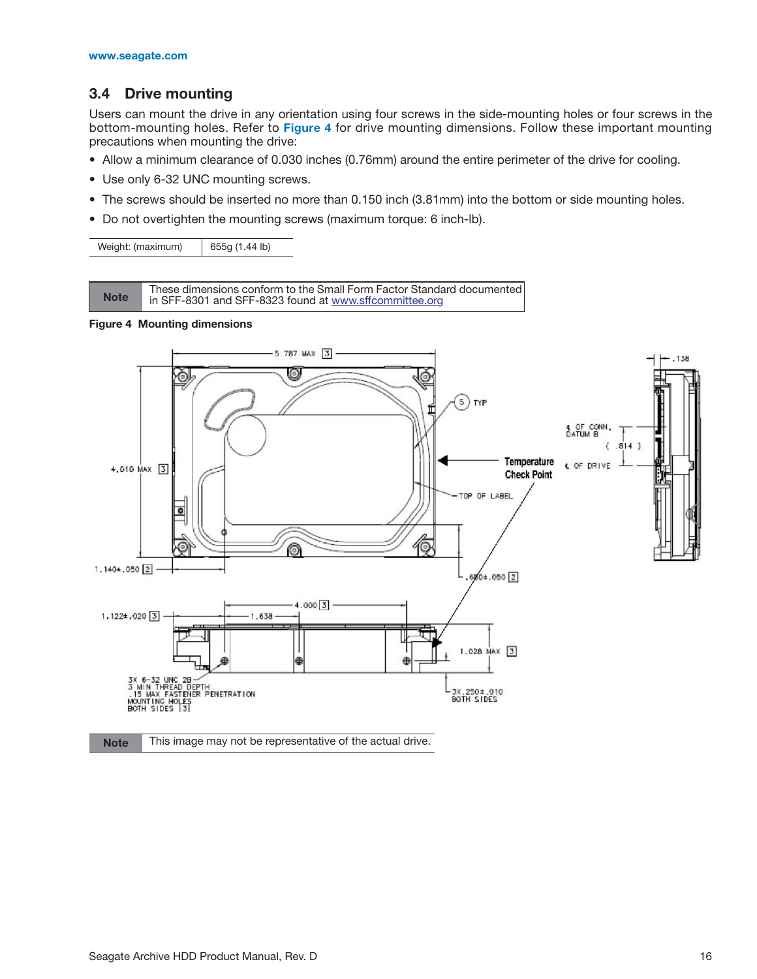## <span id="page-20-0"></span>**3.4 Drive mounting**

Users can mount the drive in any orientation using four screws in the side-mounting holes or four screws in the bottom-mounting holes. Refer to **[Figure 4](#page-20-1)** for drive mounting dimensions. Follow these important mounting precautions when mounting the drive:

- Allow a minimum clearance of 0.030 inches (0.76mm) around the entire perimeter of the drive for cooling.
- Use only 6-32 UNC mounting screws.
- The screws should be inserted no more than 0.150 inch (3.81mm) into the bottom or side mounting holes.
- Do not overtighten the mounting screws (maximum torque: 6 inch-lb).

| Weight: (maximum) | 655g (1.44 lb) |
|-------------------|----------------|
|-------------------|----------------|

[These dimensions conform to the Small Form Factor Standard documented](http://www.sffcommittee.org)<br>Note in SEE-8301 and SEE-8323 found at www.sfr.committee.org [in SFF-8301 and SFF-8323 found at](http://www.sffcommittee.org) www.sffcommittee.org

<span id="page-20-1"></span>

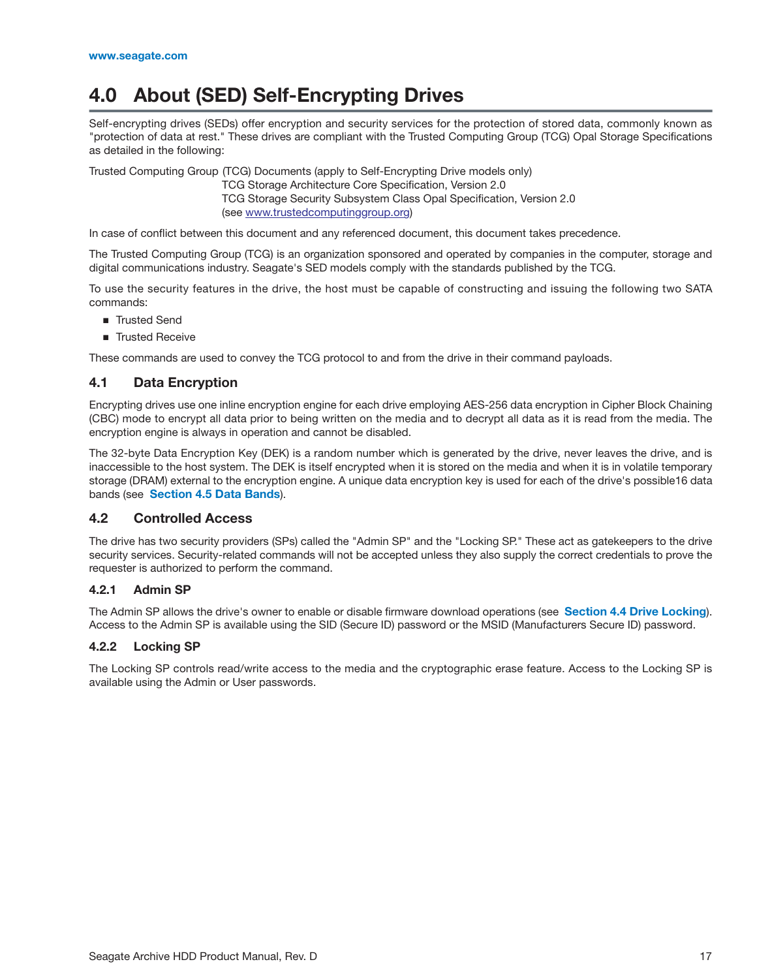## <span id="page-21-0"></span>**4.0 About (SED) Self-Encrypting Drives**

Self-encrypting drives (SEDs) offer encryption and security services for the protection of stored data, commonly known as "protection of data at rest." These drives are compliant with the Trusted Computing Group (TCG) Opal Storage Specifications as detailed in the following:

Trusted Computing Group (TCG) Documents (apply to Self-Encrypting Drive models only)

TCG Storage Architecture Core Specification, Version 2.0 TCG Storage Security Subsystem Class Opal Specification, Version 2.0 [\(see w](http://www.trustedcomputinggroup.org)ww.trustedcomputinggroup.org)

In case of conflict between this document and any referenced document, this document takes precedence.

The Trusted Computing Group (TCG) is an organization sponsored and operated by companies in the computer, storage and digital communications industry. Seagate's SED models comply with the standards published by the TCG.

To use the security features in the drive, the host must be capable of constructing and issuing the following two SATA commands:

- Trusted Send
- Trusted Receive

These commands are used to convey the TCG protocol to and from the drive in their command payloads.

#### <span id="page-21-1"></span>**4.1 Data Encryption**

Encrypting drives use one inline encryption engine for each drive employing AES-256 data encryption in Cipher Block Chaining (CBC) mode to encrypt all data prior to being written on the media and to decrypt all data as it is read from the media. The encryption engine is always in operation and cannot be disabled.

The 32-byte Data Encryption Key (DEK) is a random number which is generated by the drive, never leaves the drive, and is inaccessible to the host system. The DEK is itself encrypted when it is stored on the media and when it is in volatile temporary storage (DRAM) external to the encryption engine. A unique data encryption key is used for each of the drive's possible16 data bands (see **[Section 4.5 Data Bands](#page-22-4)**).

#### <span id="page-21-2"></span>**4.2 Controlled Access**

The drive has two security providers (SPs) called the "Admin SP" and the "Locking SP." These act as gatekeepers to the drive security services. Security-related commands will not be accepted unless they also supply the correct credentials to prove the requester is authorized to perform the command.

#### <span id="page-21-3"></span>**4.2.1 Admin SP**

The Admin SP allows the drive's owner to enable or disable firmware download operations (see **[Section 4.4 Drive Locking](#page-22-3)**). Access to the Admin SP is available using the SID (Secure ID) password or the MSID (Manufacturers Secure ID) password.

#### <span id="page-21-4"></span>**4.2.2 Locking SP**

The Locking SP controls read/write access to the media and the cryptographic erase feature. Access to the Locking SP is available using the Admin or User passwords.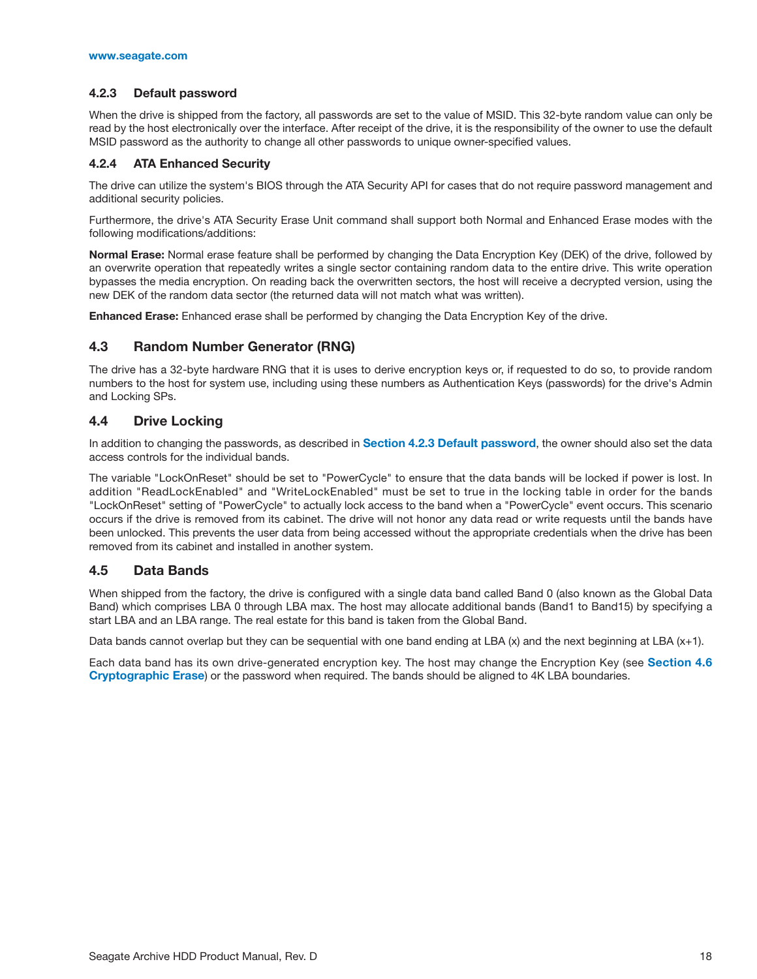#### <span id="page-22-0"></span>**4.2.3 Default password**

When the drive is shipped from the factory, all passwords are set to the value of MSID. This 32-byte random value can only be read by the host electronically over the interface. After receipt of the drive, it is the responsibility of the owner to use the default MSID password as the authority to change all other passwords to unique owner-specified values.

#### <span id="page-22-1"></span>**4.2.4 ATA Enhanced Security**

The drive can utilize the system's BIOS through the ATA Security API for cases that do not require password management and additional security policies.

Furthermore, the drive's ATA Security Erase Unit command shall support both Normal and Enhanced Erase modes with the following modifications/additions:

**Normal Erase:** Normal erase feature shall be performed by changing the Data Encryption Key (DEK) of the drive, followed by an overwrite operation that repeatedly writes a single sector containing random data to the entire drive. This write operation bypasses the media encryption. On reading back the overwritten sectors, the host will receive a decrypted version, using the new DEK of the random data sector (the returned data will not match what was written).

**Enhanced Erase:** Enhanced erase shall be performed by changing the Data Encryption Key of the drive.

#### <span id="page-22-2"></span>**4.3 Random Number Generator (RNG)**

The drive has a 32-byte hardware RNG that it is uses to derive encryption keys or, if requested to do so, to provide random numbers to the host for system use, including using these numbers as Authentication Keys (passwords) for the drive's Admin and Locking SPs.

#### <span id="page-22-3"></span>**4.4 Drive Locking**

In addition to changing the passwords, as described in **[Section 4.2.3 Default password](#page-22-0)**, the owner should also set the data access controls for the individual bands.

The variable "LockOnReset" should be set to "PowerCycle" to ensure that the data bands will be locked if power is lost. In addition "ReadLockEnabled" and "WriteLockEnabled" must be set to true in the locking table in order for the bands "LockOnReset" setting of "PowerCycle" to actually lock access to the band when a "PowerCycle" event occurs. This scenario occurs if the drive is removed from its cabinet. The drive will not honor any data read or write requests until the bands have been unlocked. This prevents the user data from being accessed without the appropriate credentials when the drive has been removed from its cabinet and installed in another system.

#### <span id="page-22-4"></span>**4.5 Data Bands**

When shipped from the factory, the drive is configured with a single data band called Band 0 (also known as the Global Data Band) which comprises LBA 0 through LBA max. The host may allocate additional bands (Band1 to Band15) by specifying a start LBA and an LBA range. The real estate for this band is taken from the Global Band.

Data bands cannot overlap but they can be sequential with one band ending at LBA (x) and the next beginning at LBA  $(x+1)$ .

Each data band has its own drive-generated encryption key. The host may change the Encryption Key (see **[Section 4.6](#page-23-0) [Cryptographic Erase](#page-23-0)**) or the password when required. The bands should be aligned to 4K LBA boundaries.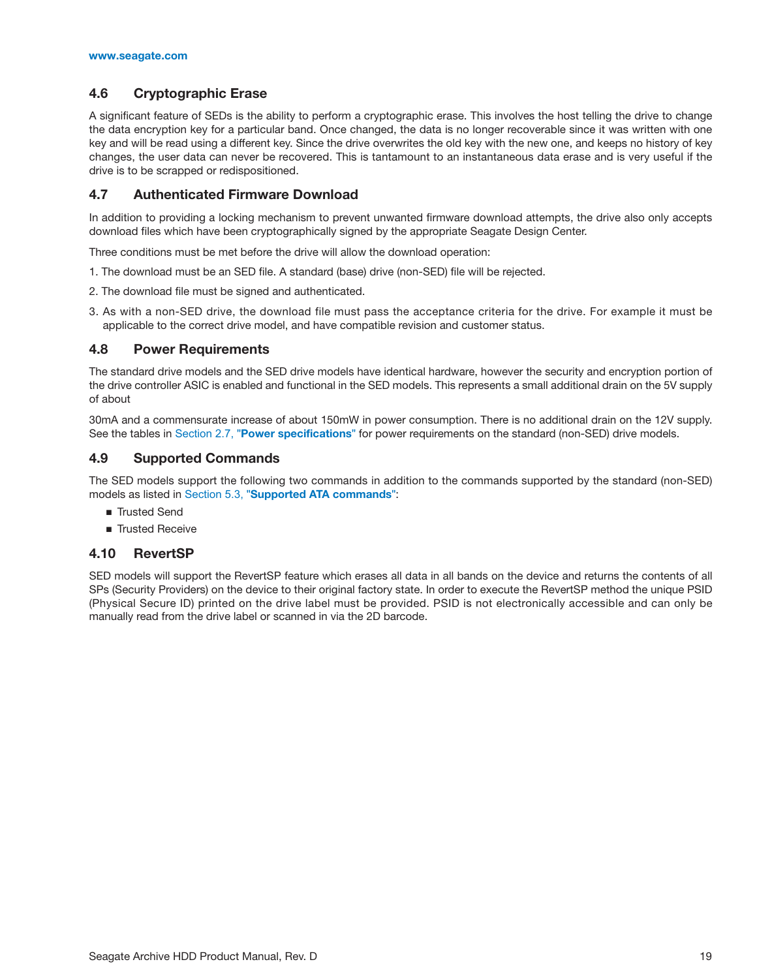#### <span id="page-23-0"></span>**4.6 Cryptographic Erase**

A significant feature of SEDs is the ability to perform a cryptographic erase. This involves the host telling the drive to change the data encryption key for a particular band. Once changed, the data is no longer recoverable since it was written with one key and will be read using a different key. Since the drive overwrites the old key with the new one, and keeps no history of key changes, the user data can never be recovered. This is tantamount to an instantaneous data erase and is very useful if the drive is to be scrapped or redispositioned.

#### <span id="page-23-1"></span>**4.7 Authenticated Firmware Download**

In addition to providing a locking mechanism to prevent unwanted firmware download attempts, the drive also only accepts download files which have been cryptographically signed by the appropriate Seagate Design Center.

Three conditions must be met before the drive will allow the download operation:

- 1. The download must be an SED file. A standard (base) drive (non-SED) file will be rejected.
- 2. The download file must be signed and authenticated.
- 3. As with a non-SED drive, the download file must pass the acceptance criteria for the drive. For example it must be applicable to the correct drive model, and have compatible revision and customer status.

#### <span id="page-23-2"></span>**4.8 Power Requirements**

The standard drive models and the SED drive models have identical hardware, however the security and encryption portion of the drive controller ASIC is enabled and functional in the SED models. This represents a small additional drain on the 5V supply of about

30mA and a commensurate increase of about 150mW in power consumption. There is no additional drain on the 12V supply. See the tables in Section 2.7, "[Power specifications](#page-10-2)" for power requirements on the standard (non-SED) drive models.

#### <span id="page-23-3"></span>**4.9 Supported Commands**

The SED models support the following two commands in addition to the commands supported by the standard (non-SED) models as listed in Section 5.3, "[Supported ATA commands](#page-25-0)":

- Trusted Send
- Trusted Receive

#### <span id="page-23-4"></span>**4.10 RevertSP**

SED models will support the RevertSP feature which erases all data in all bands on the device and returns the contents of all SPs (Security Providers) on the device to their original factory state. In order to execute the RevertSP method the unique PSID (Physical Secure ID) printed on the drive label must be provided. PSID is not electronically accessible and can only be manually read from the drive label or scanned in via the 2D barcode.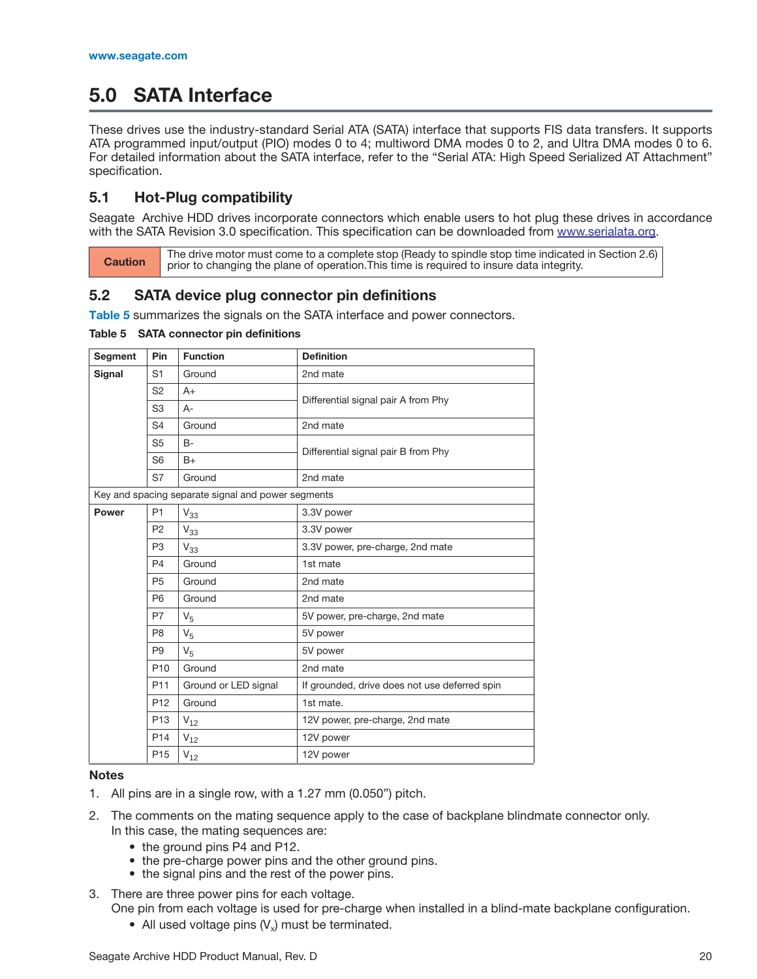## <span id="page-24-0"></span>**5.0 SATA Interface**

These drives use the industry-standard Serial ATA (SATA) interface that supports FIS data transfers. It supports ATA programmed input/output (PIO) modes 0 to 4; multiword DMA modes 0 to 2, and Ultra DMA modes 0 to 6. For detailed information about the SATA interface, refer to the "Serial ATA: High Speed Serialized AT Attachment" specification.

#### <span id="page-24-1"></span>**5.1 Hot-Plug compatibility**

[Seagate Archive HDD drives incorporate connectors which enable users to hot plug these drives in accordance](http://www.serialata.org) [with the SATA Revision 3.0 specification. This specification can be downloaded from w](http://www.serialata.org)ww.serialata.org.

The drive motor must come to a complete stop (Ready to spindle stop time indicated in [Section 2.6\)](#page-10-1)<br>Caution prior to observing the plane of operation This time is required to insure data integrity. prior to changing the plane of operation.This time is required to insure data integrity.

## <span id="page-24-2"></span>**5.2 SATA device plug connector pin definitions**

**[Table 5](#page-24-3)** summarizes the signals on the SATA interface and power connectors.

<span id="page-24-3"></span>**Table 5 SATA connector pin definitions**

| Segment       | Pin                                  | <b>Function</b>                                    | <b>Definition</b>                             |  |
|---------------|--------------------------------------|----------------------------------------------------|-----------------------------------------------|--|
| <b>Signal</b> | S <sub>1</sub>                       | Ground                                             | 2nd mate                                      |  |
|               | S <sub>2</sub>                       | $A+$                                               |                                               |  |
|               | S <sub>3</sub>                       | $A -$                                              | Differential signal pair A from Phy           |  |
|               | S <sub>4</sub>                       | Ground                                             | 2nd mate                                      |  |
|               | S <sub>5</sub>                       | <b>B-</b>                                          | Differential signal pair B from Phy           |  |
|               | S <sub>6</sub>                       | $B+$                                               |                                               |  |
|               | S7                                   | Ground                                             | 2nd mate                                      |  |
|               |                                      | Key and spacing separate signal and power segments |                                               |  |
| <b>Power</b>  | P <sub>1</sub>                       | $V_{33}$                                           | 3.3V power                                    |  |
|               | P <sub>2</sub>                       | $V_{33}$                                           | 3.3V power                                    |  |
|               | P <sub>3</sub>                       | $V_{33}$                                           | 3.3V power, pre-charge, 2nd mate              |  |
|               | P <sub>4</sub>                       | Ground                                             | 1st mate                                      |  |
|               | P <sub>5</sub><br>Ground<br>2nd mate |                                                    |                                               |  |
|               | P <sub>6</sub>                       | Ground                                             | 2nd mate                                      |  |
|               | P7                                   | V <sub>5</sub>                                     | 5V power, pre-charge, 2nd mate                |  |
|               | P <sub>8</sub>                       | $V_5$                                              | 5V power                                      |  |
|               | P <sub>9</sub>                       | V <sub>5</sub>                                     | 5V power                                      |  |
|               | P <sub>10</sub>                      | Ground                                             | 2nd mate                                      |  |
|               | P <sub>11</sub>                      | Ground or LED signal                               | If grounded, drive does not use deferred spin |  |
|               | P <sub>12</sub>                      | Ground                                             | 1st mate.                                     |  |
|               | P <sub>13</sub>                      | $V_{12}$                                           | 12V power, pre-charge, 2nd mate               |  |
|               | P <sub>14</sub>                      | $V_{12}$                                           | 12V power                                     |  |
|               | P <sub>15</sub>                      | $V_{12}$                                           | 12V power                                     |  |

#### **Notes**

- 1. All pins are in a single row, with a 1.27 mm (0.050") pitch.
- 2. The comments on the mating sequence apply to the case of backplane blindmate connector only. In this case, the mating sequences are:
	- the ground pins P4 and P12.
	- the pre-charge power pins and the other ground pins.
	- the signal pins and the rest of the power pins.
- 3. There are three power pins for each voltage. One pin from each voltage is used for pre-charge when installed in a blind-mate backplane configuration.
	- All used voltage pins  $(V_x)$  must be terminated.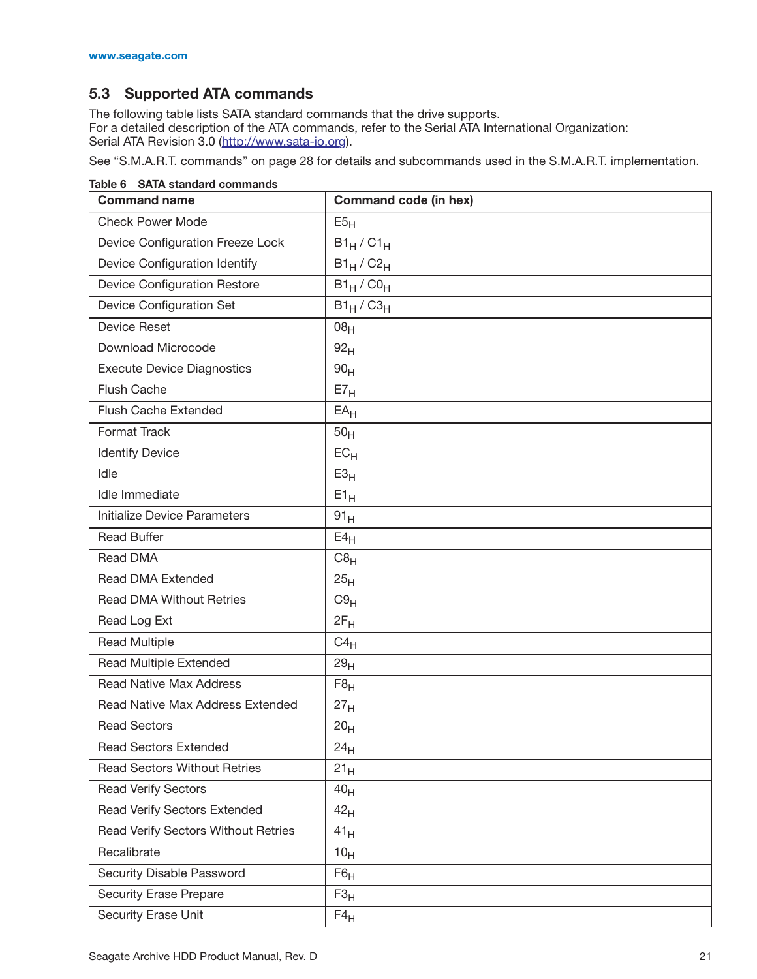## <span id="page-25-0"></span>**5.3 Supported ATA commands**

The following table lists SATA standard commands that the drive supports. For a detailed description of the ATA commands, refer to the Serial ATA International Organization: Serial ATA Revision 3.0 ([http://www.sata-io.or](http://www.sata-io.org)g).

[See "S.M.A.R.T. commands" on page 28](#page-32-0) for details and subcommands used in the S.M.A.R.T. implementation.

| <b>Command name</b>                 | <b>Command code (in hex)</b> |
|-------------------------------------|------------------------------|
| <b>Check Power Mode</b>             | E5 <sub>H</sub>              |
| Device Configuration Freeze Lock    | $B1_H / C1_H$                |
| Device Configuration Identify       | $B1_H / C2_H$                |
| <b>Device Configuration Restore</b> | $B1_H$ / $CO_H$              |
| Device Configuration Set            | $B1_H / C3_H$                |
| <b>Device Reset</b>                 | 08 <sub>H</sub>              |
| Download Microcode                  | 92 <sub>H</sub>              |
| <b>Execute Device Diagnostics</b>   | 90 <sub>H</sub>              |
| Flush Cache                         | E7 <sub>H</sub>              |
| Flush Cache Extended                | $EA_H$                       |
| <b>Format Track</b>                 | 50 <sub>H</sub>              |
| <b>Identify Device</b>              | $EC_{H}$                     |
| Idle                                | E3 <sub>H</sub>              |
| Idle Immediate                      | $E1_H$                       |
| <b>Initialize Device Parameters</b> | 91 <sub>H</sub>              |
| <b>Read Buffer</b>                  | $E4_H$                       |
| Read DMA                            | C8 <sub>H</sub>              |
| Read DMA Extended                   | 25 <sub>H</sub>              |
| <b>Read DMA Without Retries</b>     | C9 <sub>H</sub>              |
| Read Log Ext                        | $2F_H$                       |
| <b>Read Multiple</b>                | $C4_H$                       |
| <b>Read Multiple Extended</b>       | 29 <sub>H</sub>              |
| <b>Read Native Max Address</b>      | F8 <sub>H</sub>              |
| Read Native Max Address Extended    | 27 <sub>H</sub>              |
| <b>Read Sectors</b>                 | 20 <sub>H</sub>              |
| <b>Read Sectors Extended</b>        | 24 <sub>H</sub>              |
| <b>Read Sectors Without Retries</b> | 21 <sub>H</sub>              |
| <b>Read Verify Sectors</b>          | 40 <sub>H</sub>              |
| Read Verify Sectors Extended        | 42 <sub>H</sub>              |
| Read Verify Sectors Without Retries | $41_H$                       |
| Recalibrate                         | 10 <sub>H</sub>              |
| Security Disable Password           | F6 <sub>H</sub>              |
| <b>Security Erase Prepare</b>       | $F3_{H}$                     |
| Security Erase Unit                 | $F4_H$                       |

**Table 6 SATA standard commands**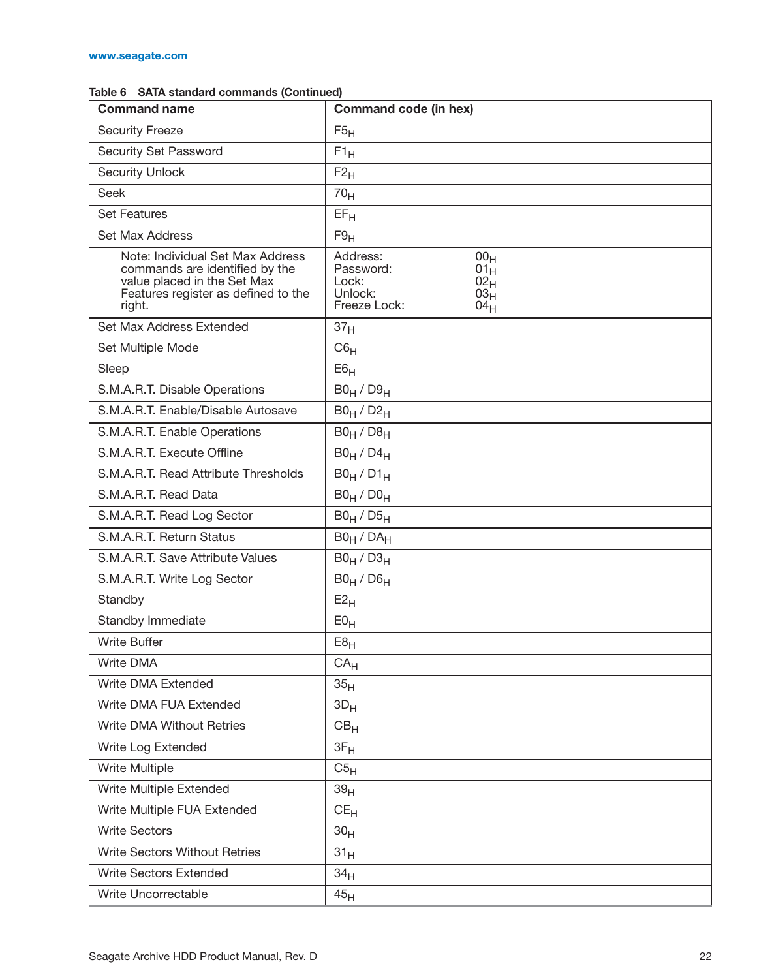| <b>Command name</b>                                                                                                                                | Command code (in hex)                                     |                                                                  |
|----------------------------------------------------------------------------------------------------------------------------------------------------|-----------------------------------------------------------|------------------------------------------------------------------|
| <b>Security Freeze</b>                                                                                                                             | F5 <sub>H</sub>                                           |                                                                  |
| Security Set Password                                                                                                                              | $F1_H$                                                    |                                                                  |
| <b>Security Unlock</b>                                                                                                                             | F2 <sub>H</sub>                                           |                                                                  |
| <b>Seek</b>                                                                                                                                        | 70 <sub>H</sub>                                           |                                                                  |
| <b>Set Features</b>                                                                                                                                | $EF_{H}$                                                  |                                                                  |
| Set Max Address                                                                                                                                    | F9 <sub>H</sub>                                           |                                                                  |
| Note: Individual Set Max Address<br>commands are identified by the<br>value placed in the Set Max<br>Features register as defined to the<br>right. | Address:<br>Password:<br>Lock:<br>Unlock:<br>Freeze Lock: | 00 <sub>H</sub><br>$01_H$<br>$02_H$<br>03 <sub>H</sub><br>$04_H$ |
| Set Max Address Extended                                                                                                                           | 37 <sub>H</sub>                                           |                                                                  |
| Set Multiple Mode                                                                                                                                  | C6 <sub>H</sub>                                           |                                                                  |
| Sleep                                                                                                                                              | E6 <sub>H</sub>                                           |                                                                  |
| S.M.A.R.T. Disable Operations                                                                                                                      | $B0_H / D9_H$                                             |                                                                  |
| S.M.A.R.T. Enable/Disable Autosave                                                                                                                 | $B0_H / D2_H$                                             |                                                                  |
| S.M.A.R.T. Enable Operations                                                                                                                       | $B0_H / D8_H$                                             |                                                                  |
| S.M.A.R.T. Execute Offline                                                                                                                         | $B0_H / D4_H$                                             |                                                                  |
| S.M.A.R.T. Read Attribute Thresholds                                                                                                               | $B0_H / D1_H$                                             |                                                                  |
| S.M.A.R.T. Read Data                                                                                                                               | $B0_H / D0_H$                                             |                                                                  |
| S.M.A.R.T. Read Log Sector                                                                                                                         | $B0_H / D5_H$                                             |                                                                  |
| S.M.A.R.T. Return Status                                                                                                                           | $B0_H / DA_H$                                             |                                                                  |
| S.M.A.R.T. Save Attribute Values                                                                                                                   | $B0_H / D3_H$                                             |                                                                  |
| S.M.A.R.T. Write Log Sector                                                                                                                        | $B0_H / D6_H$                                             |                                                                  |
| Standby                                                                                                                                            | $E2_{H}$                                                  |                                                                  |
| Standby Immediate                                                                                                                                  | E0 <sub>H</sub>                                           |                                                                  |
| <b>Write Buffer</b>                                                                                                                                | E8 <sub>H</sub>                                           |                                                                  |
| Write DMA                                                                                                                                          | CA <sub>H</sub>                                           |                                                                  |
| Write DMA Extended                                                                                                                                 | 35 <sub>H</sub>                                           |                                                                  |
| Write DMA FUA Extended                                                                                                                             | $3D_H$                                                    |                                                                  |
| Write DMA Without Retries                                                                                                                          | CB <sub>H</sub>                                           |                                                                  |
| Write Log Extended                                                                                                                                 | $3F_H$                                                    |                                                                  |
| <b>Write Multiple</b>                                                                                                                              | C5 <sub>H</sub>                                           |                                                                  |
| Write Multiple Extended                                                                                                                            | 39 <sub>H</sub>                                           |                                                                  |
| Write Multiple FUA Extended                                                                                                                        | $CE_{H}$                                                  |                                                                  |
| <b>Write Sectors</b>                                                                                                                               | 30 <sub>H</sub>                                           |                                                                  |
| <b>Write Sectors Without Retries</b>                                                                                                               | 31 <sub>H</sub>                                           |                                                                  |
| <b>Write Sectors Extended</b>                                                                                                                      | 34 <sub>H</sub>                                           |                                                                  |
| Write Uncorrectable                                                                                                                                | 45 <sub>H</sub>                                           |                                                                  |

#### **Table 6 SATA standard commands (Continued)**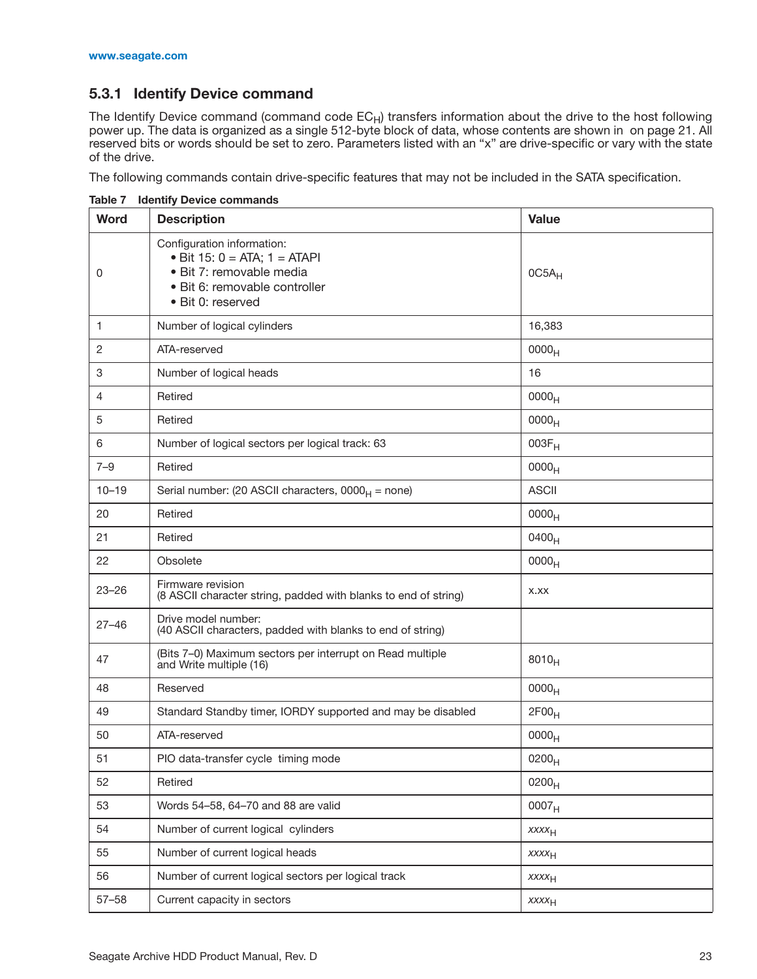## <span id="page-27-0"></span>**5.3.1 Identify Device command**

The Identify Device command (command code  $\mathsf{EC}_\mathsf{H}$ ) transfers information about the drive to the host following power up. The data is organized as a single 512-byte block of data, whose contents are shown in on page 21. All reserved bits or words should be set to zero. Parameters listed with an "x" are drive-specific or vary with the state of the drive.

The following commands contain drive-specific features that may not be included in the SATA specification.

| <b>Word</b> | <b>Description</b>                                                                                                                              | <b>Value</b>      |
|-------------|-------------------------------------------------------------------------------------------------------------------------------------------------|-------------------|
| 0           | Configuration information:<br>• Bit 15: $0 = ATA$ ; 1 = ATAPI<br>· Bit 7: removable media<br>· Bit 6: removable controller<br>• Bit 0: reserved | $0C5A_H$          |
| 1           | Number of logical cylinders                                                                                                                     | 16,383            |
| 2           | ATA-reserved                                                                                                                                    | 0000 <sub>H</sub> |
| 3           | Number of logical heads                                                                                                                         | 16                |
| 4           | Retired                                                                                                                                         | 0000 <sub>H</sub> |
| 5           | Retired                                                                                                                                         | 0000 <sub>H</sub> |
| 6           | Number of logical sectors per logical track: 63                                                                                                 | $003F_H$          |
| $7 - 9$     | Retired                                                                                                                                         | 0000 <sub>H</sub> |
| $10 - 19$   | Serial number: (20 ASCII characters, $0000_H$ = none)                                                                                           | <b>ASCII</b>      |
| 20          | Retired                                                                                                                                         | 0000 <sub>H</sub> |
| 21          | Retired                                                                                                                                         | 0400 <sub>H</sub> |
| 22          | Obsolete                                                                                                                                        | 0000 <sub>H</sub> |
| $23 - 26$   | Firmware revision<br>(8 ASCII character string, padded with blanks to end of string)                                                            | X.XX              |
| $27 - 46$   | Drive model number:<br>(40 ASCII characters, padded with blanks to end of string)                                                               |                   |
| 47          | (Bits 7-0) Maximum sectors per interrupt on Read multiple<br>and Write multiple (16)                                                            | $8010_H$          |
| 48          | Reserved                                                                                                                                        | 0000 <sub>H</sub> |
| 49          | Standard Standby timer, IORDY supported and may be disabled                                                                                     | 2F00 <sub>H</sub> |
| 50          | ATA-reserved                                                                                                                                    | 0000 <sub>H</sub> |
| 51          | PIO data-transfer cycle timing mode                                                                                                             | 0200 <sub>H</sub> |
| 52          | Retired                                                                                                                                         | $0200_H$          |
| 53          | Words 54-58, 64-70 and 88 are valid                                                                                                             | 0007 <sub>H</sub> |
| 54          | Number of current logical cylinders                                                                                                             | XXXH              |
| 55          | Number of current logical heads                                                                                                                 | XXXH              |
| 56          | Number of current logical sectors per logical track                                                                                             | XXXH              |
| $57 - 58$   | Current capacity in sectors                                                                                                                     | XXXH              |

**Table 7 Identify Device commands**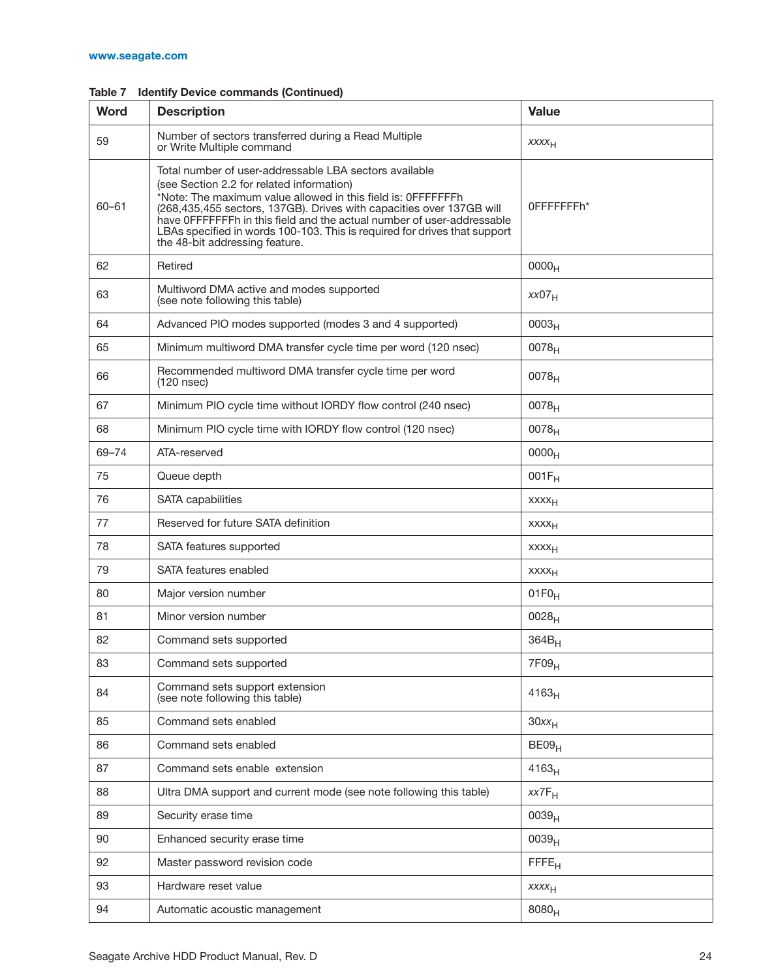| <b>Word</b> | <b>Description</b>                                                                                                                                                                                                                                                                                                                                                                                                                   | <b>Value</b>            |
|-------------|--------------------------------------------------------------------------------------------------------------------------------------------------------------------------------------------------------------------------------------------------------------------------------------------------------------------------------------------------------------------------------------------------------------------------------------|-------------------------|
| 59          | Number of sectors transferred during a Read Multiple<br>or Write Multiple command                                                                                                                                                                                                                                                                                                                                                    | XXXH                    |
| $60 - 61$   | Total number of user-addressable LBA sectors available<br>(see Section 2.2 for related information)<br>*Note: The maximum value allowed in this field is: 0FFFFFFFh<br>(268,435,455 sectors, 137GB). Drives with capacities over 137GB will<br>have OFFFFFFFh in this field and the actual number of user-addressable<br>LBAs specified in words 100-103. This is required for drives that support<br>the 48-bit addressing feature. | 0FFFFFFFFh*             |
| 62          | Retired                                                                                                                                                                                                                                                                                                                                                                                                                              | 0000 <sub>H</sub>       |
| 63          | Multiword DMA active and modes supported<br>(see note following this table)                                                                                                                                                                                                                                                                                                                                                          | $XX07_H$                |
| 64          | Advanced PIO modes supported (modes 3 and 4 supported)                                                                                                                                                                                                                                                                                                                                                                               | 0003 <sub>H</sub>       |
| 65          | Minimum multiword DMA transfer cycle time per word (120 nsec)                                                                                                                                                                                                                                                                                                                                                                        | $0078_H$                |
| 66          | Recommended multiword DMA transfer cycle time per word<br>(120 nsec)                                                                                                                                                                                                                                                                                                                                                                 | $0078_{H}$              |
| 67          | Minimum PIO cycle time without IORDY flow control (240 nsec)                                                                                                                                                                                                                                                                                                                                                                         | $0078_{H}$              |
| 68          | Minimum PIO cycle time with IORDY flow control (120 nsec)                                                                                                                                                                                                                                                                                                                                                                            | $0078_H$                |
| 69-74       | ATA-reserved                                                                                                                                                                                                                                                                                                                                                                                                                         | 0000 <sub>H</sub>       |
| 75          | Queue depth                                                                                                                                                                                                                                                                                                                                                                                                                          | $001F_H$                |
| 76          | <b>SATA</b> capabilities                                                                                                                                                                                                                                                                                                                                                                                                             | $XXXX$ H                |
| 77          | Reserved for future SATA definition                                                                                                                                                                                                                                                                                                                                                                                                  | <b>XXXX<sub>H</sub></b> |
| 78          | SATA features supported                                                                                                                                                                                                                                                                                                                                                                                                              | $XXXX$ H                |
| 79          | SATA features enabled                                                                                                                                                                                                                                                                                                                                                                                                                | <b>XXXX<sub>H</sub></b> |
| 80          | Major version number                                                                                                                                                                                                                                                                                                                                                                                                                 | $01F0_H$                |
| 81          | Minor version number                                                                                                                                                                                                                                                                                                                                                                                                                 | $0028_{H}$              |
| 82          | Command sets supported                                                                                                                                                                                                                                                                                                                                                                                                               | $364B_H$                |
| 83          | Command sets supported                                                                                                                                                                                                                                                                                                                                                                                                               | 7F09 <sub>H</sub>       |
| 84          | Command sets support extension<br>(see note following this table)                                                                                                                                                                                                                                                                                                                                                                    | $4163_H$                |
| 85          | Command sets enabled                                                                                                                                                                                                                                                                                                                                                                                                                 | $30xx_H$                |
| 86          | Command sets enabled                                                                                                                                                                                                                                                                                                                                                                                                                 | BE09 <sub>H</sub>       |
| 87          | Command sets enable extension                                                                                                                                                                                                                                                                                                                                                                                                        | $4163_H$                |
| 88          | Ultra DMA support and current mode (see note following this table)                                                                                                                                                                                                                                                                                                                                                                   | $XX7F_H$                |
| 89          | Security erase time                                                                                                                                                                                                                                                                                                                                                                                                                  | 0039 <sub>H</sub>       |
| 90          | Enhanced security erase time<br>0039 <sub>H</sub>                                                                                                                                                                                                                                                                                                                                                                                    |                         |
| 92          | Master password revision code<br>FFE <sub>H</sub>                                                                                                                                                                                                                                                                                                                                                                                    |                         |
| 93          | Hardware reset value                                                                                                                                                                                                                                                                                                                                                                                                                 | XXXH                    |
| 94          | Automatic acoustic management                                                                                                                                                                                                                                                                                                                                                                                                        | $8080_H$                |

#### **Table 7 Identify Device commands (Continued)**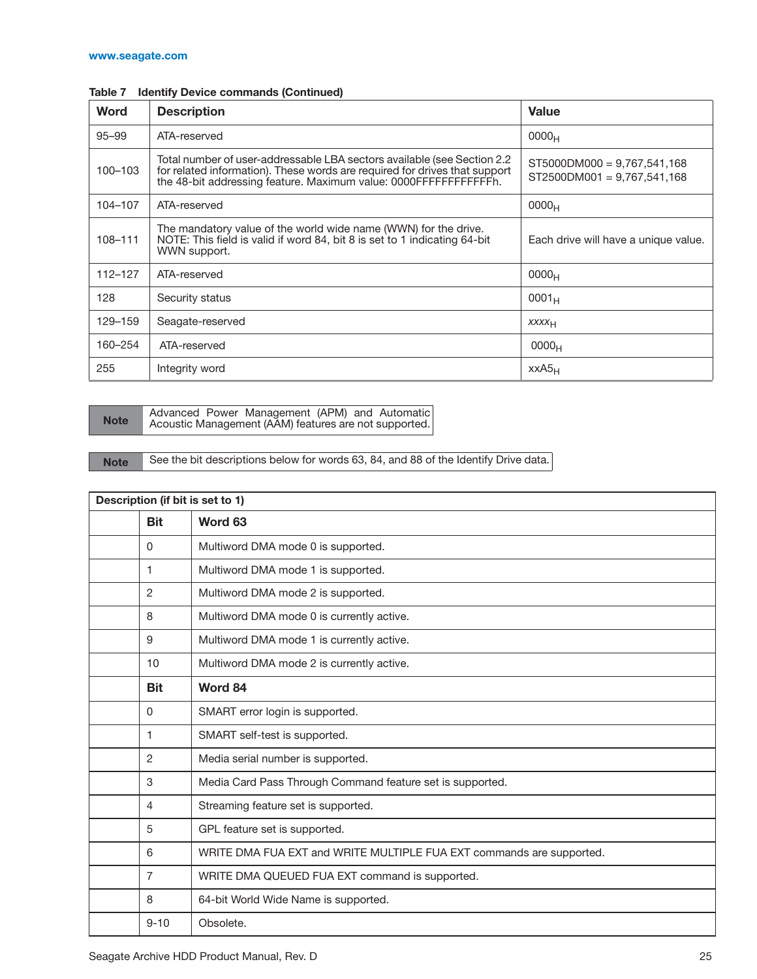| <b>Word</b> | <b>Description</b>                                                                                                                                                                                                                                                                           | <b>Value</b>      |
|-------------|----------------------------------------------------------------------------------------------------------------------------------------------------------------------------------------------------------------------------------------------------------------------------------------------|-------------------|
| $95 - 99$   | ATA-reserved                                                                                                                                                                                                                                                                                 | 0000 <sub>H</sub> |
| 100-103     | Total number of user-addressable LBA sectors available (see Section 2.2)<br>$ST5000DM000 = 9.767,541,168$<br>for related information). These words are required for drives that support<br>$ST2500DM001 = 9.767,541,168$<br>the 48-bit addressing feature. Maximum value: 0000FFFFFFFFFFFFF. |                   |
| 104-107     | ATA-reserved<br>0000 <sub>H</sub>                                                                                                                                                                                                                                                            |                   |
| 108-111     | The mandatory value of the world wide name (WWN) for the drive.<br>NOTE: This field is valid if word 84, bit 8 is set to 1 indicating 64-bit<br>Each drive will have a unique value.<br>WWN support.                                                                                         |                   |
| $112 - 127$ | ATA-reserved                                                                                                                                                                                                                                                                                 | 0000 <sub>H</sub> |
| 128         | $0001_H$<br>Security status                                                                                                                                                                                                                                                                  |                   |
| 129–159     | Seagate-reserved<br><b>XXXX<sub>H</sub></b>                                                                                                                                                                                                                                                  |                   |
| 160–254     | ATA-reserved<br>0000 <sub>H</sub>                                                                                                                                                                                                                                                            |                   |
| 255         | Integrity word                                                                                                                                                                                                                                                                               | $XXAS_H$          |

**Note** Advanced Power Management (APM) and Automatic<br>Acoustic Management (AAM) features are not supported.

Note See the bit descriptions below for words 63, 84, and 88 of the Identify Drive data.

| Description (if bit is set to 1) |                |                                                                      |
|----------------------------------|----------------|----------------------------------------------------------------------|
|                                  | <b>Bit</b>     | Word 63                                                              |
|                                  | 0              | Multiword DMA mode 0 is supported.                                   |
|                                  | 1              | Multiword DMA mode 1 is supported.                                   |
|                                  | 2              | Multiword DMA mode 2 is supported.                                   |
|                                  | 8              | Multiword DMA mode 0 is currently active.                            |
|                                  | 9              | Multiword DMA mode 1 is currently active.                            |
|                                  | 10             | Multiword DMA mode 2 is currently active.                            |
|                                  | <b>Bit</b>     | Word 84                                                              |
|                                  | 0              | SMART error login is supported.                                      |
|                                  | 1              | SMART self-test is supported.                                        |
|                                  | 2              | Media serial number is supported.                                    |
|                                  | 3              | Media Card Pass Through Command feature set is supported.            |
|                                  | 4              | Streaming feature set is supported.                                  |
|                                  | 5              | GPL feature set is supported.                                        |
|                                  | 6              | WRITE DMA FUA EXT and WRITE MULTIPLE FUA EXT commands are supported. |
|                                  | $\overline{7}$ | WRITE DMA QUEUED FUA EXT command is supported.                       |
|                                  | 8              | 64-bit World Wide Name is supported.                                 |
|                                  | $9 - 10$       | Obsolete.                                                            |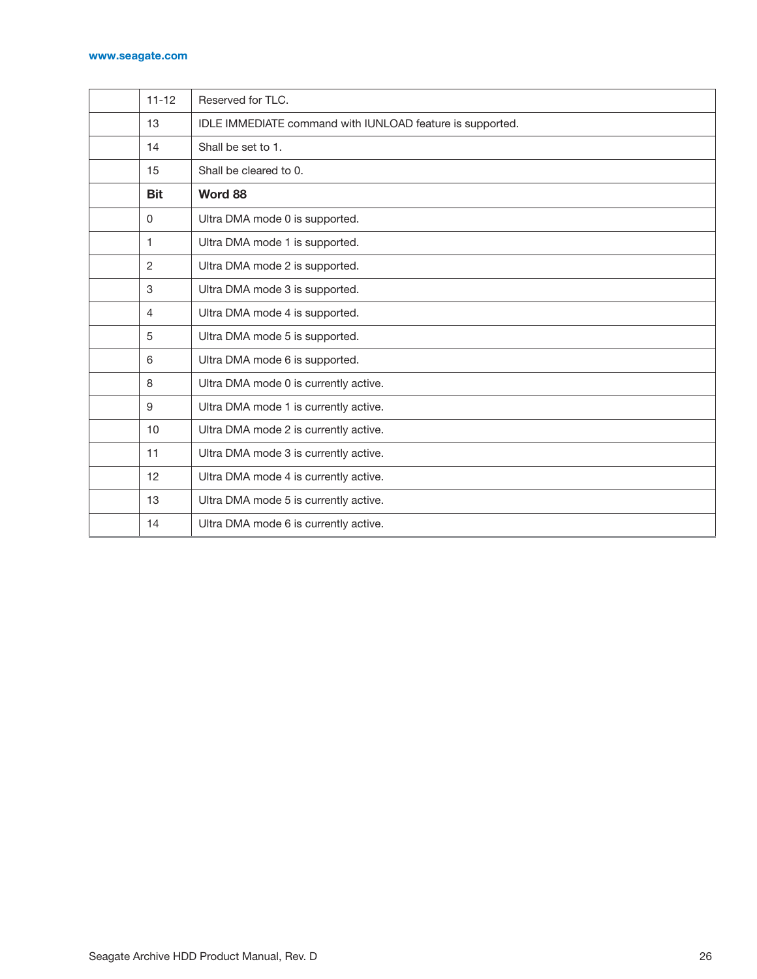#### **[www.seagate.com](http://www.seagate.com)**

| $11 - 12$      | Reserved for TLC.                                         |
|----------------|-----------------------------------------------------------|
| 13             | IDLE IMMEDIATE command with IUNLOAD feature is supported. |
| 14             | Shall be set to 1.                                        |
| 15             | Shall be cleared to 0.                                    |
| <b>Bit</b>     | Word 88                                                   |
| $\Omega$       | Ultra DMA mode 0 is supported.                            |
| 1              | Ultra DMA mode 1 is supported.                            |
| $\overline{2}$ | Ultra DMA mode 2 is supported.                            |
| 3              | Ultra DMA mode 3 is supported.                            |
| 4              | Ultra DMA mode 4 is supported.                            |
| 5              | Ultra DMA mode 5 is supported.                            |
| 6              | Ultra DMA mode 6 is supported.                            |
| 8              | Ultra DMA mode 0 is currently active.                     |
| 9              | Ultra DMA mode 1 is currently active.                     |
| 10             | Ultra DMA mode 2 is currently active.                     |
| 11             | Ultra DMA mode 3 is currently active.                     |
| 12             | Ultra DMA mode 4 is currently active.                     |
| 13             | Ultra DMA mode 5 is currently active.                     |
| 14             | Ultra DMA mode 6 is currently active.                     |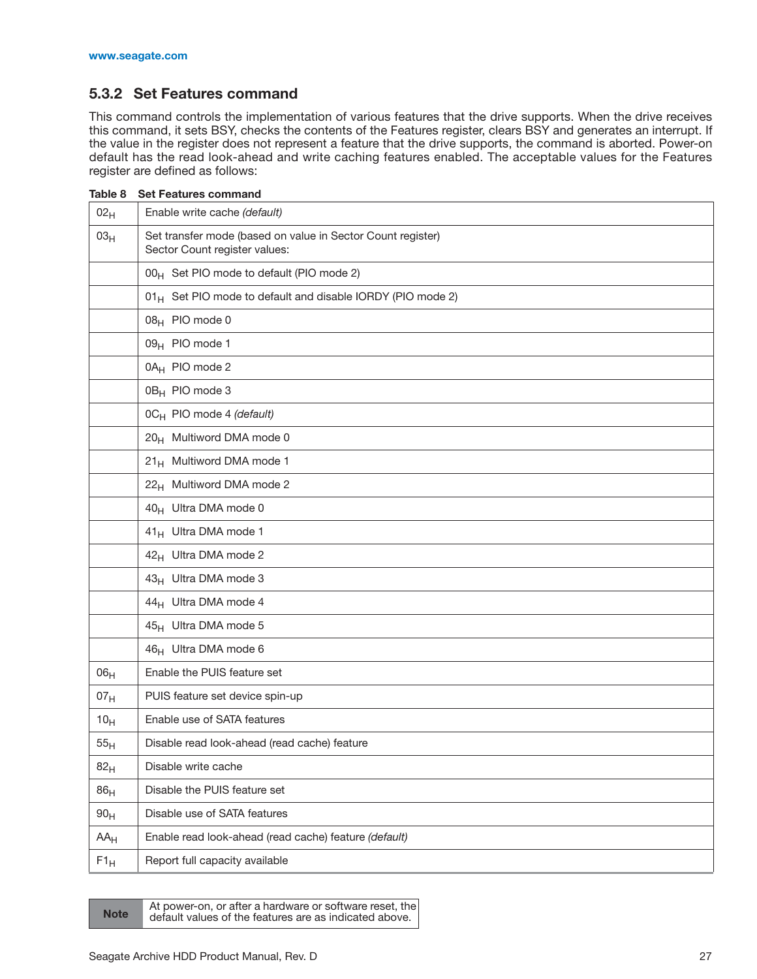## <span id="page-31-0"></span>**5.3.2 Set Features command**

This command controls the implementation of various features that the drive supports. When the drive receives this command, it sets BSY, checks the contents of the Features register, clears BSY and generates an interrupt. If the value in the register does not represent a feature that the drive supports, the command is aborted. Power-on default has the read look-ahead and write caching features enabled. The acceptable values for the Features register are defined as follows:

| Table 8<br><b>Set Features command</b> |                                                                                              |  |
|----------------------------------------|----------------------------------------------------------------------------------------------|--|
| 02 <sub>H</sub>                        | Enable write cache (default)                                                                 |  |
| 03 <sub>H</sub>                        | Set transfer mode (based on value in Sector Count register)<br>Sector Count register values: |  |
|                                        | 00 <sub>H</sub> Set PIO mode to default (PIO mode 2)                                         |  |
|                                        | 01 <sub>H</sub> Set PIO mode to default and disable IORDY (PIO mode 2)                       |  |
|                                        | 08 <sub>H</sub> PIO mode 0                                                                   |  |
|                                        | 09 <sub>H</sub> PIO mode 1                                                                   |  |
|                                        | 0A <sub>H</sub> PIO mode 2                                                                   |  |
|                                        | 0B <sub>H</sub> PIO mode 3                                                                   |  |
|                                        | 0C <sub>H</sub> PIO mode 4 (default)                                                         |  |
|                                        | 20 <sub>H</sub> Multiword DMA mode 0                                                         |  |
|                                        | 21 <sub>H</sub> Multiword DMA mode 1                                                         |  |
|                                        | 22 <sub>H</sub> Multiword DMA mode 2                                                         |  |
|                                        | 40 <sub>H</sub> Ultra DMA mode 0                                                             |  |
|                                        | 41 <sub>H</sub> Ultra DMA mode 1                                                             |  |
|                                        | 42 <sub>H</sub> Ultra DMA mode 2                                                             |  |
|                                        | 43 <sub>H</sub> Ultra DMA mode 3                                                             |  |
|                                        | 44 <sub>H</sub> Ultra DMA mode 4                                                             |  |
|                                        | 45 <sub>H</sub> Ultra DMA mode 5                                                             |  |
|                                        | 46 <sub>H</sub> Ultra DMA mode 6                                                             |  |
| 06 <sub>H</sub>                        | Enable the PUIS feature set                                                                  |  |
| 07 <sub>H</sub>                        | PUIS feature set device spin-up                                                              |  |
| 10 <sub>H</sub>                        | Enable use of SATA features                                                                  |  |
| 55 <sub>H</sub>                        | Disable read look-ahead (read cache) feature                                                 |  |
| 82 <sub>H</sub>                        | Disable write cache                                                                          |  |
| 86 <sub>H</sub>                        | Disable the PUIS feature set                                                                 |  |
| 90 <sub>H</sub>                        | Disable use of SATA features                                                                 |  |
| $AA_H$                                 | Enable read look-ahead (read cache) feature (default)                                        |  |
| $F1_H$                                 | Report full capacity available                                                               |  |

At power-on, or after a hardware or software reset, the<br>
default values of the features are as indicated above.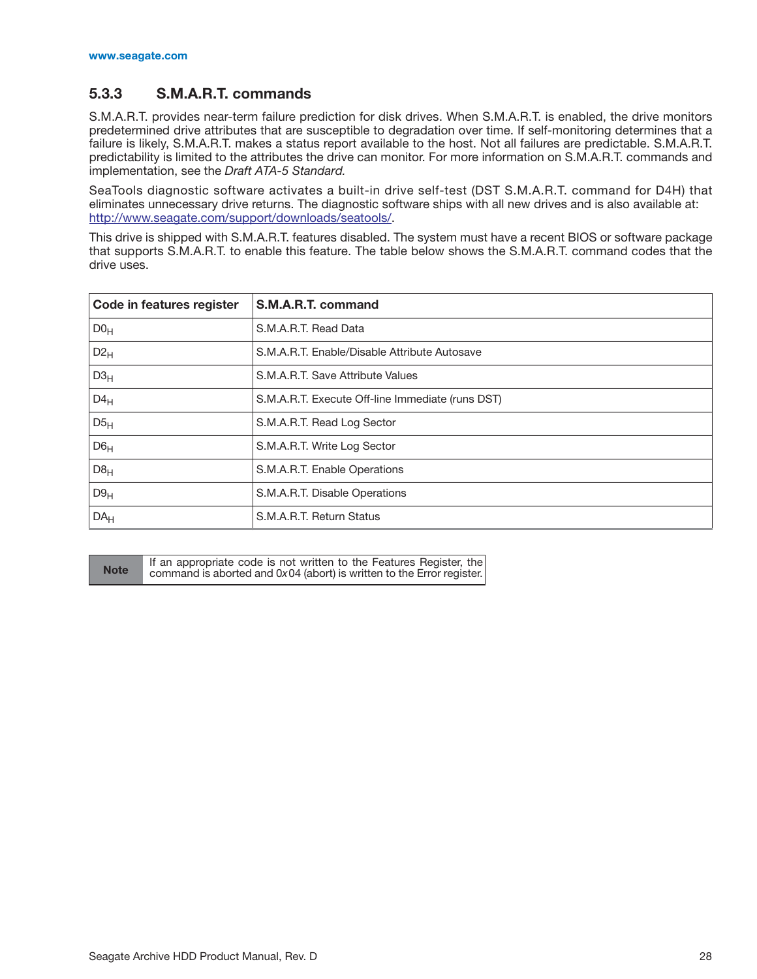## <span id="page-32-0"></span>**5.3.3 S.M.A.R.T. commands**

S.M.A.R.T. provides near-term failure prediction for disk drives. When S.M.A.R.T. is enabled, the drive monitors predetermined drive attributes that are susceptible to degradation over time. If self-monitoring determines that a failure is likely, S.M.A.R.T. makes a status report available to the host. Not all failures are predictable. S.M.A.R.T. predictability is limited to the attributes the drive can monitor. For more information on S.M.A.R.T. commands and implementation, see the *Draft ATA-5 Standard.*

SeaTools diagnostic software activates a built-in drive self-test (DST S.M.A.R.T. command for D4H) that eliminates unnecessary drive returns. The diagnostic software ships with all new drives and is also available at: [http://www.seagate.com/support/downloads/seatools/.](http://www.seagate.com/support/downloads/seatools/)

This drive is shipped with S.M.A.R.T. features disabled. The system must have a recent BIOS or software package that supports S.M.A.R.T. to enable this feature. The table below shows the S.M.A.R.T. command codes that the drive uses.

| Code in features register | S.M.A.R.T. command                               |
|---------------------------|--------------------------------------------------|
| DO <sub>H</sub>           | S.M.A.R.T. Read Data                             |
| $D2_{H}$                  | S.M.A.R.T. Enable/Disable Attribute Autosave     |
| D3 <sub>H</sub>           | S.M.A.R.T. Save Attribute Values                 |
| $D4_H$                    | S.M.A.R.T. Execute Off-line Immediate (runs DST) |
| D5 <sub>H</sub>           | S.M.A.R.T. Read Log Sector                       |
| D6 <sub>H</sub>           | S.M.A.R.T. Write Log Sector                      |
| D8 <sub>H</sub>           | S.M.A.R.T. Enable Operations                     |
| D9 <sub>H</sub>           | S.M.A.R.T. Disable Operations                    |
| DA <sub>H</sub>           | S.M.A.R.T. Return Status                         |

**Note** If an appropriate code is not written to the Features Register, the **Note** command is aborted and  $0 \times 04$  (abort) is written to the From register command is aborted and 0*x* 04 (abort) is written to the Error register.